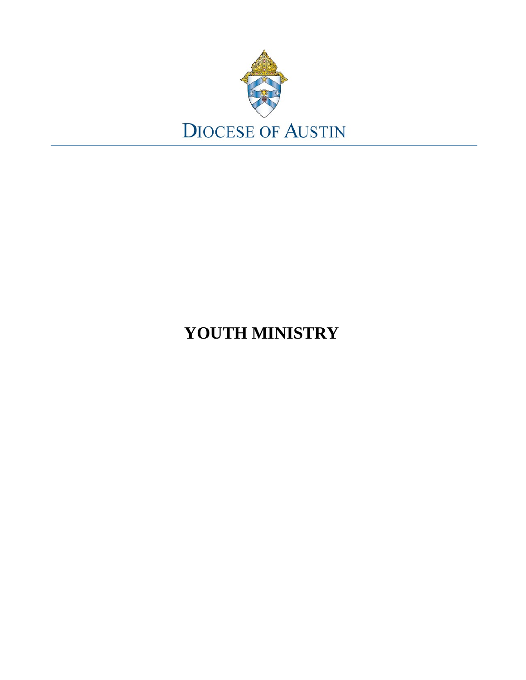

# **YOUTH MINISTRY**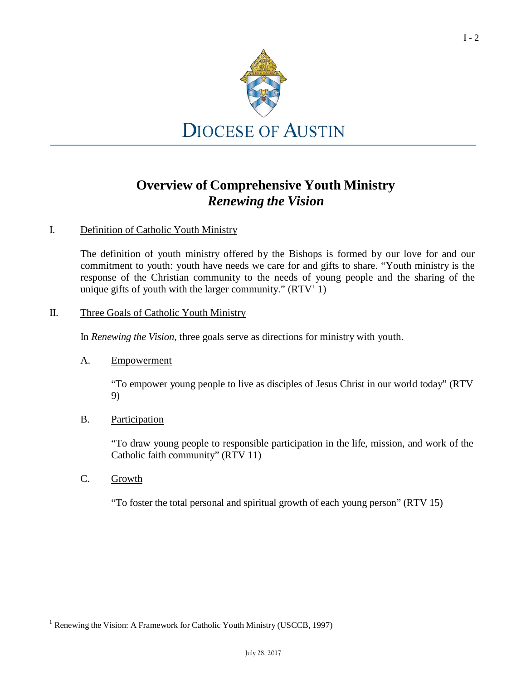

## **Overview of Comprehensive Youth Ministry** *Renewing the Vision*

### I. Definition of Catholic Youth Ministry

The definition of youth ministry offered by the Bishops is formed by our love for and our commitment to youth: youth have needs we care for and gifts to share. "Youth ministry is the response of the Christian community to the needs of young people and the sharing of the unique gifts of youth with the larger community."  $(RTV<sup>1</sup>1)$ 

### II. Three Goals of Catholic Youth Ministry

In *Renewing the Vision*, three goals serve as directions for ministry with youth.

A. Empowerment

"To empower young people to live as disciples of Jesus Christ in our world today" (RTV 9)

B. Participation

"To draw young people to responsible participation in the life, mission, and work of the Catholic faith community" (RTV 11)

C. Growth

"To foster the total personal and spiritual growth of each young person" (RTV 15)

<span id="page-1-0"></span><sup>&</sup>lt;sup>1</sup> Renewing the Vision: A Framework for Catholic Youth Ministry (USCCB, 1997)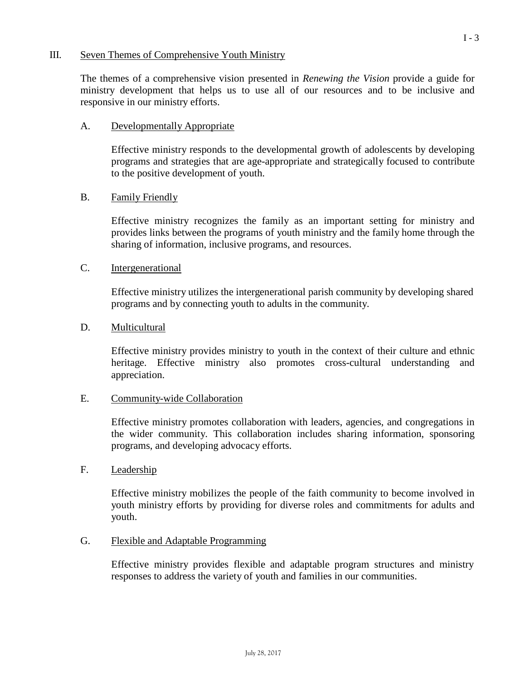### III. Seven Themes of Comprehensive Youth Ministry

The themes of a comprehensive vision presented in *Renewing the Vision* provide a guide for ministry development that helps us to use all of our resources and to be inclusive and responsive in our ministry efforts.

### A. Developmentally Appropriate

Effective ministry responds to the developmental growth of adolescents by developing programs and strategies that are age-appropriate and strategically focused to contribute to the positive development of youth.

### B. Family Friendly

Effective ministry recognizes the family as an important setting for ministry and provides links between the programs of youth ministry and the family home through the sharing of information, inclusive programs, and resources.

### C. Intergenerational

Effective ministry utilizes the intergenerational parish community by developing shared programs and by connecting youth to adults in the community.

### D. Multicultural

Effective ministry provides ministry to youth in the context of their culture and ethnic heritage. Effective ministry also promotes cross-cultural understanding and appreciation.

### E. Community-wide Collaboration

Effective ministry promotes collaboration with leaders, agencies, and congregations in the wider community. This collaboration includes sharing information, sponsoring programs, and developing advocacy efforts.

### F. Leadership

Effective ministry mobilizes the people of the faith community to become involved in youth ministry efforts by providing for diverse roles and commitments for adults and youth.

### G. Flexible and Adaptable Programming

Effective ministry provides flexible and adaptable program structures and ministry responses to address the variety of youth and families in our communities.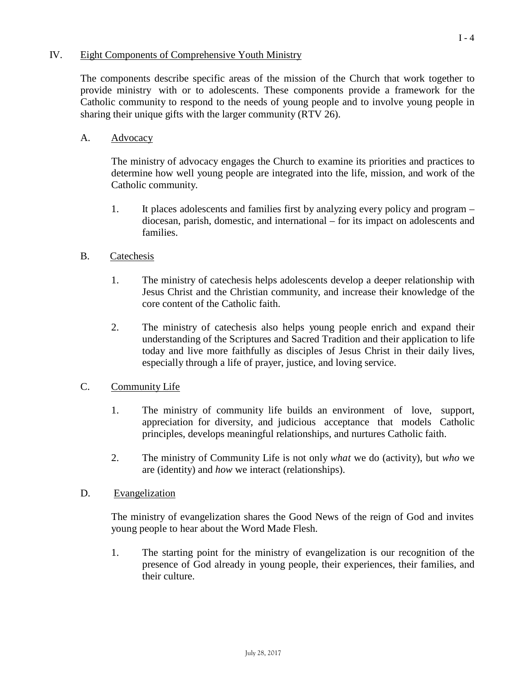### IV. Eight Components of Comprehensive Youth Ministry

The components describe specific areas of the mission of the Church that work together to provide ministry with or to adolescents. These components provide a framework for the Catholic community to respond to the needs of young people and to involve young people in sharing their unique gifts with the larger community (RTV 26).

### A. Advocacy

The ministry of advocacy engages the Church to examine its priorities and practices to determine how well young people are integrated into the life, mission, and work of the Catholic community.

1. It places adolescents and families first by analyzing every policy and program – diocesan, parish, domestic, and international – for its impact on adolescents and families.

### B. Catechesis

- 1. The ministry of catechesis helps adolescents develop a deeper relationship with Jesus Christ and the Christian community, and increase their knowledge of the core content of the Catholic faith.
- 2. The ministry of catechesis also helps young people enrich and expand their understanding of the Scriptures and Sacred Tradition and their application to life today and live more faithfully as disciples of Jesus Christ in their daily lives, especially through a life of prayer, justice, and loving service.

### C. Community Life

- 1. The ministry of community life builds an environment of love, support, appreciation for diversity, and judicious acceptance that models Catholic principles, develops meaningful relationships, and nurtures Catholic faith.
- 2. The ministry of Community Life is not only *what* we do (activity), but *who* we are (identity) and *how* we interact (relationships).

### D. Evangelization

The ministry of evangelization shares the Good News of the reign of God and invites young people to hear about the Word Made Flesh.

1. The starting point for the ministry of evangelization is our recognition of the presence of God already in young people, their experiences, their families, and their culture.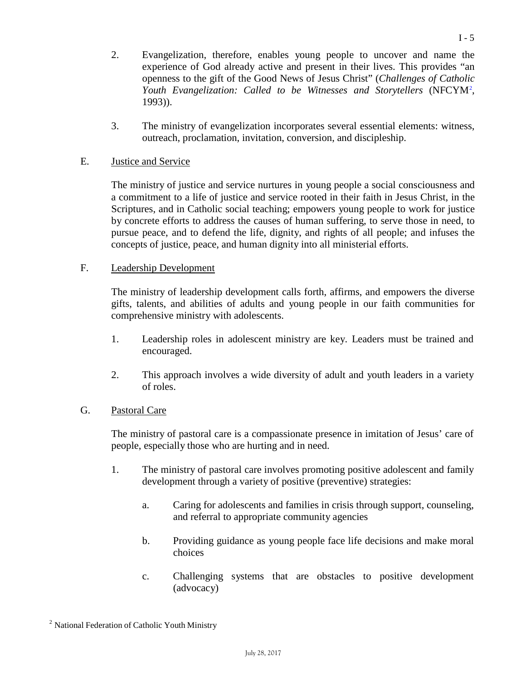- 2. Evangelization, therefore, enables young people to uncover and name the experience of God already active and present in their lives. This provides "an openness to the gift of the Good News of Jesus Christ" (*Challenges of Catholic Youth Evangelization: Called to be Witnesses and Storytellers* (NFCY[M2](#page-4-0) , 1993)).
- 3. The ministry of evangelization incorporates several essential elements: witness, outreach, proclamation, invitation, conversion, and discipleship.

### E. Justice and Service

The ministry of justice and service nurtures in young people a social consciousness and a commitment to a life of justice and service rooted in their faith in Jesus Christ, in the Scriptures, and in Catholic social teaching; empowers young people to work for justice by concrete efforts to address the causes of human suffering, to serve those in need, to pursue peace, and to defend the life, dignity, and rights of all people; and infuses the concepts of justice, peace, and human dignity into all ministerial efforts.

### F. Leadership Development

The ministry of leadership development calls forth, affirms, and empowers the diverse gifts, talents, and abilities of adults and young people in our faith communities for comprehensive ministry with adolescents.

- 1. Leadership roles in adolescent ministry are key. Leaders must be trained and encouraged.
- 2. This approach involves a wide diversity of adult and youth leaders in a variety of roles.

### G. Pastoral Care

The ministry of pastoral care is a compassionate presence in imitation of Jesus' care of people, especially those who are hurting and in need.

- 1. The ministry of pastoral care involves promoting positive adolescent and family development through a variety of positive (preventive) strategies:
	- a. Caring for adolescents and families in crisis through support, counseling, and referral to appropriate community agencies
	- b. Providing guidance as young people face life decisions and make moral choices
	- c. Challenging systems that are obstacles to positive development (advocacy)

<span id="page-4-0"></span><sup>&</sup>lt;sup>2</sup> National Federation of Catholic Youth Ministry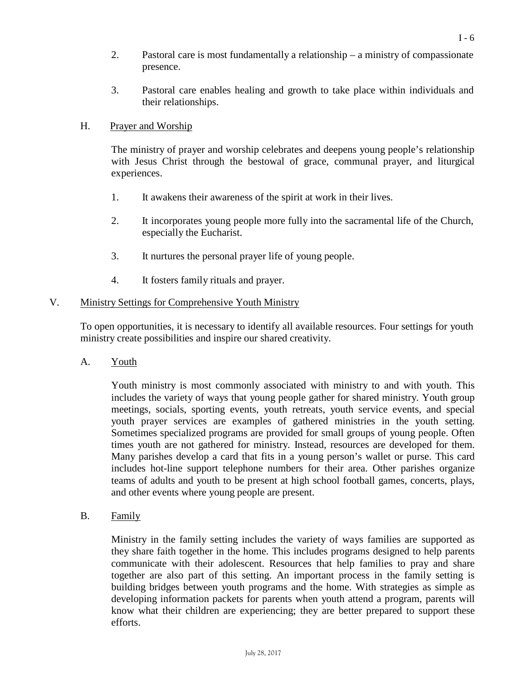- 2. Pastoral care is most fundamentally a relationship a ministry of compassionate presence.
- 3. Pastoral care enables healing and growth to take place within individuals and their relationships.

### H. Prayer and Worship

The ministry of prayer and worship celebrates and deepens young people's relationship with Jesus Christ through the bestowal of grace, communal prayer, and liturgical experiences.

- 1. It awakens their awareness of the spirit at work in their lives.
- 2. It incorporates young people more fully into the sacramental life of the Church, especially the Eucharist.
- 3. It nurtures the personal prayer life of young people.
- 4. It fosters family rituals and prayer.

### V. Ministry Settings for Comprehensive Youth Ministry

To open opportunities, it is necessary to identify all available resources. Four settings for youth ministry create possibilities and inspire our shared creativity.

A. Youth

Youth ministry is most commonly associated with ministry to and with youth. This includes the variety of ways that young people gather for shared ministry. Youth group meetings, socials, sporting events, youth retreats, youth service events, and special youth prayer services are examples of gathered ministries in the youth setting. Sometimes specialized programs are provided for small groups of young people. Often times youth are not gathered for ministry. Instead, resources are developed for them. Many parishes develop a card that fits in a young person's wallet or purse. This card includes hot-line support telephone numbers for their area. Other parishes organize teams of adults and youth to be present at high school football games, concerts, plays, and other events where young people are present.

B. Family

Ministry in the family setting includes the variety of ways families are supported as they share faith together in the home. This includes programs designed to help parents communicate with their adolescent. Resources that help families to pray and share together are also part of this setting. An important process in the family setting is building bridges between youth programs and the home. With strategies as simple as developing information packets for parents when youth attend a program, parents will know what their children are experiencing; they are better prepared to support these efforts.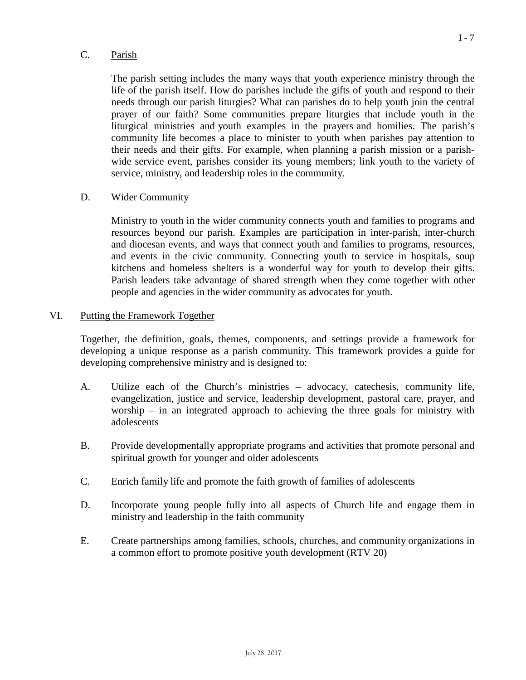### C. Parish

The parish setting includes the many ways that youth experience ministry through the life of the parish itself. How do parishes include the gifts of youth and respond to their needs through our parish liturgies? What can parishes do to help youth join the central prayer of our faith? Some communities prepare liturgies that include youth in the liturgical ministries and youth examples in the prayers and homilies. The parish's community life becomes a place to minister to youth when parishes pay attention to their needs and their gifts. For example, when planning a parish mission or a parishwide service event, parishes consider its young members; link youth to the variety of service, ministry, and leadership roles in the community.

### D. Wider Community

Ministry to youth in the wider community connects youth and families to programs and resources beyond our parish. Examples are participation in inter-parish, inter-church and diocesan events, and ways that connect youth and families to programs, resources, and events in the civic community. Connecting youth to service in hospitals, soup kitchens and homeless shelters is a wonderful way for youth to develop their gifts. Parish leaders take advantage of shared strength when they come together with other people and agencies in the wider community as advocates for youth.

### VI. Putting the Framework Together

Together, the definition, goals, themes, components, and settings provide a framework for developing a unique response as a parish community. This framework provides a guide for developing comprehensive ministry and is designed to:

- A. Utilize each of the Church's ministries advocacy, catechesis, community life, evangelization, justice and service, leadership development, pastoral care, prayer, and worship – in an integrated approach to achieving the three goals for ministry with adolescents
- B. Provide developmentally appropriate programs and activities that promote personal and spiritual growth for younger and older adolescents
- C. Enrich family life and promote the faith growth of families of adolescents
- D. Incorporate young people fully into all aspects of Church life and engage them in ministry and leadership in the faith community
- E. Create partnerships among families, schools, churches, and community organizations in a common effort to promote positive youth development (RTV 20)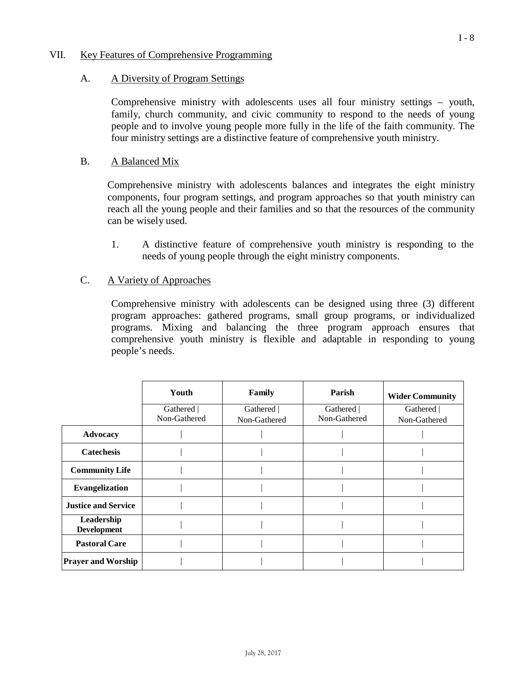### VII. Key Features of Comprehensive Programming

### A. A Diversity of Program Settings

Comprehensive ministry with adolescents uses all four ministry settings – youth, family, church community, and civic community to respond to the needs of young people and to involve young people more fully in the life of the faith community. The four ministry settings are a distinctive feature of comprehensive youth ministry.

### B. A Balanced Mix

Comprehensive ministry with adolescents balances and integrates the eight ministry components, four program settings, and program approaches so that youth ministry can reach all the young people and their families and so that the resources of the community can be wisely used.

1. A distinctive feature of comprehensive youth ministry is responding to the needs of young people through the eight ministry components.

### C. A Variety of Approaches

Comprehensive ministry with adolescents can be designed using three (3) different program approaches: gathered programs, small group programs, or individualized programs. Mixing and balancing the three program approach ensures that comprehensive youth ministry is flexible and adaptable in responding to young people's needs.

|                            | Youth                      | Family                     | Parish                     | <b>Wider Community</b>     |
|----------------------------|----------------------------|----------------------------|----------------------------|----------------------------|
|                            | Gathered  <br>Non-Gathered | Gathered  <br>Non-Gathered | Gathered  <br>Non-Gathered | Gathered  <br>Non-Gathered |
| Advocacy                   |                            |                            |                            |                            |
| <b>Catechesis</b>          |                            |                            |                            |                            |
| <b>Community Life</b>      |                            |                            |                            |                            |
| Evangelization             |                            |                            |                            |                            |
| <b>Justice and Service</b> |                            |                            |                            |                            |
| Leadership<br>Development  |                            |                            |                            |                            |
| <b>Pastoral Care</b>       |                            |                            |                            |                            |
| <b>Prayer and Worship</b>  |                            |                            |                            |                            |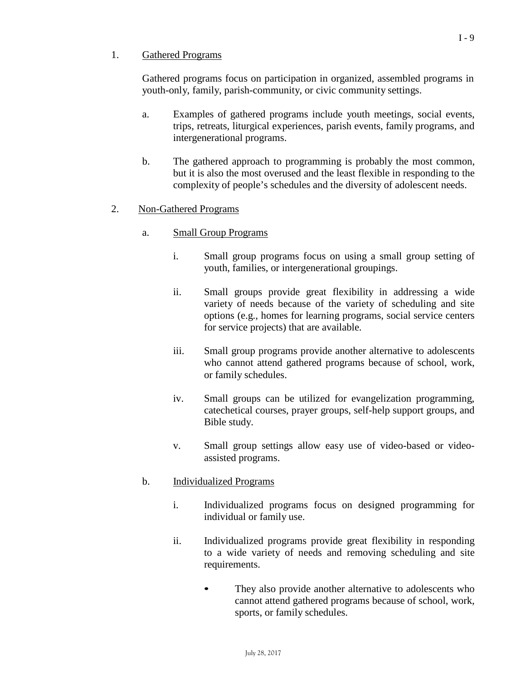### 1. Gathered Programs

Gathered programs focus on participation in organized, assembled programs in youth-only, family, parish-community, or civic community settings.

- a. Examples of gathered programs include youth meetings, social events, trips, retreats, liturgical experiences, parish events, family programs, and intergenerational programs.
- b. The gathered approach to programming is probably the most common, but it is also the most overused and the least flexible in responding to the complexity of people's schedules and the diversity of adolescent needs.
- 2. Non-Gathered Programs
	- a. Small Group Programs
		- i. Small group programs focus on using a small group setting of youth, families, or intergenerational groupings.
		- ii. Small groups provide great flexibility in addressing a wide variety of needs because of the variety of scheduling and site options (e.g., homes for learning programs, social service centers for service projects) that are available.
		- iii. Small group programs provide another alternative to adolescents who cannot attend gathered programs because of school, work, or family schedules.
		- iv. Small groups can be utilized for evangelization programming, catechetical courses, prayer groups, self-help support groups, and Bible study.
		- v. Small group settings allow easy use of video-based or videoassisted programs.

### b. Individualized Programs

- i. Individualized programs focus on designed programming for individual or family use.
- ii. Individualized programs provide great flexibility in responding to a wide variety of needs and removing scheduling and site requirements.
	- They also provide another alternative to adolescents who cannot attend gathered programs because of school, work, sports, or family schedules.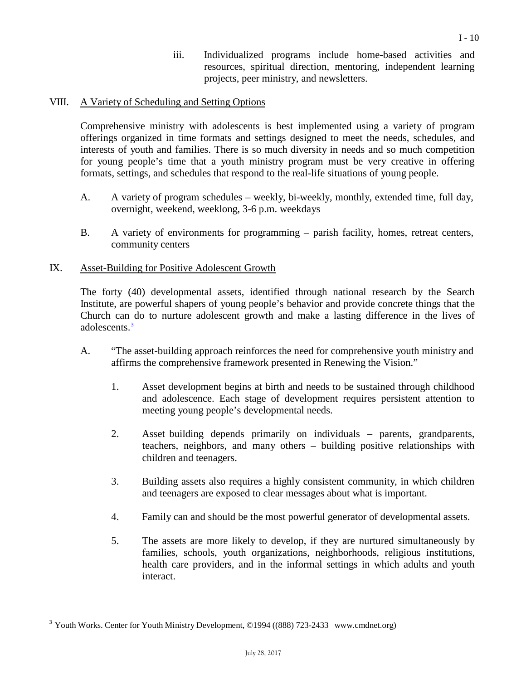iii. Individualized programs include home-based activities and resources, spiritual direction, mentoring, independent learning projects, peer ministry, and newsletters.

### VIII. A Variety of Scheduling and Setting Options

Comprehensive ministry with adolescents is best implemented using a variety of program offerings organized in time formats and settings designed to meet the needs, schedules, and interests of youth and families. There is so much diversity in needs and so much competition for young people's time that a youth ministry program must be very creative in offering formats, settings, and schedules that respond to the real-life situations of young people.

- A. A variety of program schedules weekly, bi-weekly, monthly, extended time, full day, overnight, weekend, weeklong, 3-6 p.m. weekdays
- B. A variety of environments for programming parish facility, homes, retreat centers, community centers

### IX. Asset-Building for Positive Adolescent Growth

The forty (40) developmental assets, identified through national research by the Search Institute, are powerful shapers of young people's behavior and provide concrete things that the Church can do to nurture adolescent growth and make a lasting difference in the lives of adolescents[.](#page-9-0) 3

- A. "The asset-building approach reinforces the need for comprehensive youth ministry and affirms the comprehensive framework presented in Renewing the Vision."
	- 1. Asset development begins at birth and needs to be sustained through childhood and adolescence. Each stage of development requires persistent attention to meeting young people's developmental needs.
	- 2. Asset building depends primarily on individuals parents, grandparents, teachers, neighbors, and many others – building positive relationships with children and teenagers.
	- 3. Building assets also requires a highly consistent community, in which children and teenagers are exposed to clear messages about what is important.
	- 4. Family can and should be the most powerful generator of developmental assets.
	- 5. The assets are more likely to develop, if they are nurtured simultaneously by families, schools, youth organizations, neighborhoods, religious institutions, health care providers, and in the informal settings in which adults and youth interact.

<span id="page-9-0"></span><sup>3</sup> Youth Works. Center for Youth Ministry Development, ©1994 ((888) 723-2433 www.cmdnet.org)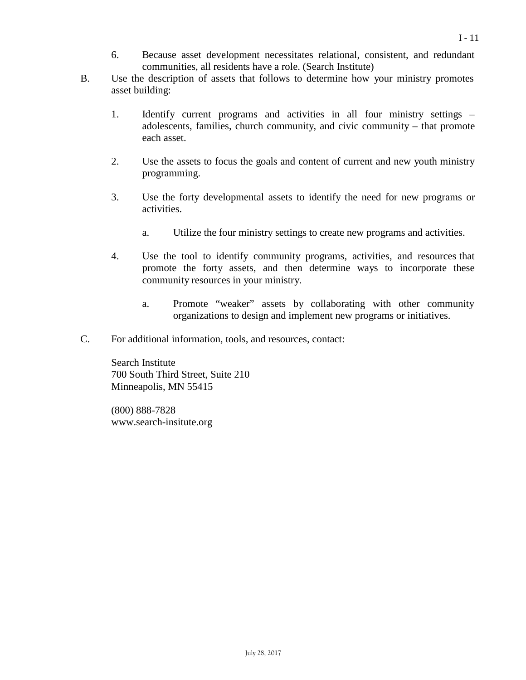- 6. Because asset development necessitates relational, consistent, and redundant communities, all residents have a role. (Search Institute)
- B. Use the description of assets that follows to determine how your ministry promotes asset building:
	- 1. Identify current programs and activities in all four ministry settings adolescents, families, church community, and civic community – that promote each asset.
	- 2. Use the assets to focus the goals and content of current and new youth ministry programming.
	- 3. Use the forty developmental assets to identify the need for new programs or activities.
		- a. Utilize the four ministry settings to create new programs and activities.
	- 4. Use the tool to identify community programs, activities, and resources that promote the forty assets, and then determine ways to incorporate these community resources in your ministry.
		- a. Promote "weaker" assets by collaborating with other community organizations to design and implement new programs or initiatives.
- C. For additional information, tools, and resources, contact:

Search Institute 700 South Third Street, Suite 210 Minneapolis, MN 55415

(800) 888-7828 [www.search-insitute.org](http://www.search-insitute.org/)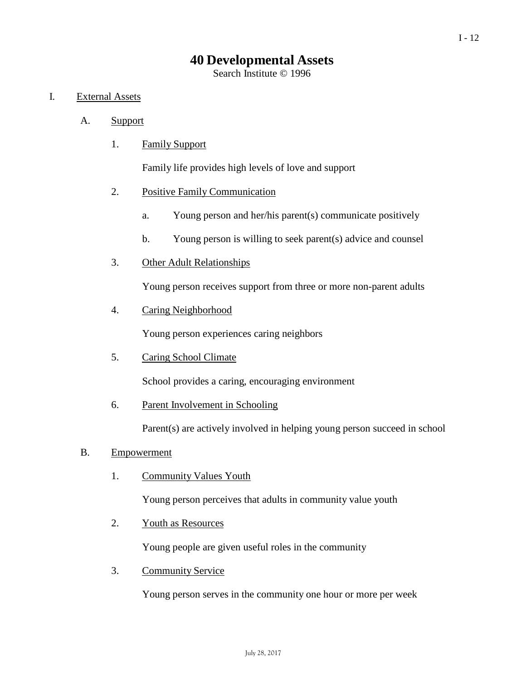### **40 Developmental Assets**

Search Institute © 1996

### I. External Assets

### A. Support

1. Family Support

Family life provides high levels of love and support

### 2. Positive Family Communication

- a. Young person and her/his parent(s) communicate positively
- b. Young person is willing to seek parent(s) advice and counsel

### 3. Other Adult Relationships

Young person receives support from three or more non-parent adults

4. Caring Neighborhood

Young person experiences caring neighbors

5. Caring School Climate

School provides a caring, encouraging environment

6. Parent Involvement in Schooling

Parent(s) are actively involved in helping young person succeed in school

### B. Empowerment

1. Community Values Youth

Young person perceives that adults in community value youth

2. Youth as Resources

Young people are given useful roles in the community

3. Community Service

Young person serves in the community one hour or more per week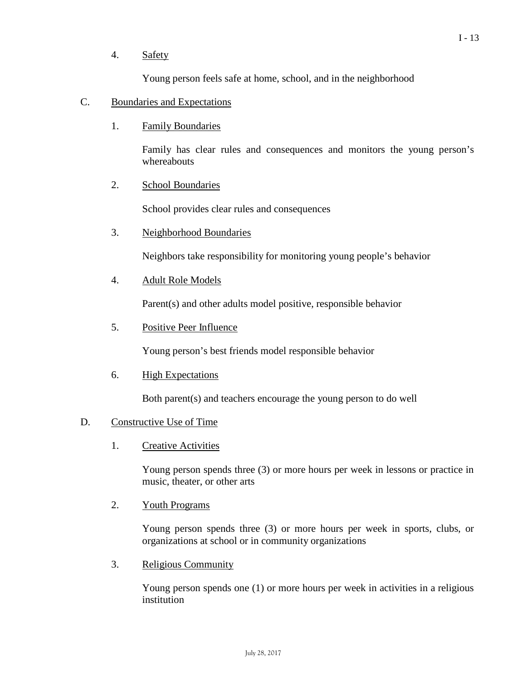4. Safety

Young person feels safe at home, school, and in the neighborhood

### C. Boundaries and Expectations

1. Family Boundaries

Family has clear rules and consequences and monitors the young person's whereabouts

2. School Boundaries

School provides clear rules and consequences

3. Neighborhood Boundaries

Neighbors take responsibility for monitoring young people's behavior

4. Adult Role Models

Parent(s) and other adults model positive, responsible behavior

5. Positive Peer Influence

Young person's best friends model responsible behavior

6. High Expectations

Both parent(s) and teachers encourage the young person to do well

### D. Constructive Use of Time

1. Creative Activities

Young person spends three (3) or more hours per week in lessons or practice in music, theater, or other arts

2. Youth Programs

Young person spends three (3) or more hours per week in sports, clubs, or organizations at school or in community organizations

3. Religious Community

Young person spends one (1) or more hours per week in activities in a religious institution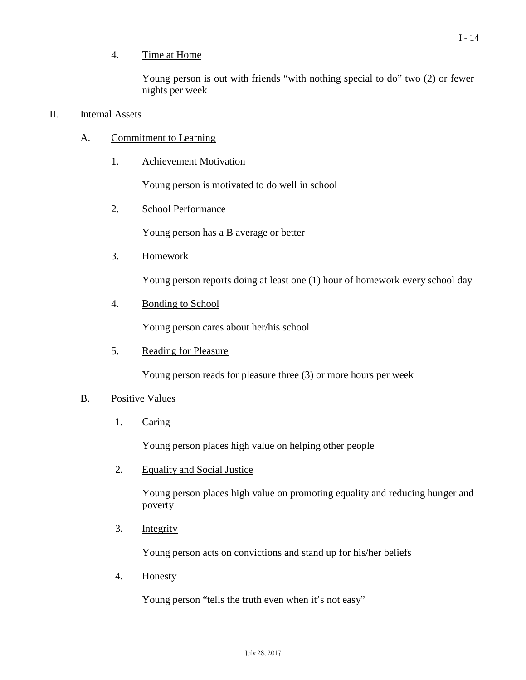### 4. Time at Home

Young person is out with friends "with nothing special to do" two (2) or fewer nights per week

### II. Internal Assets

### A. Commitment to Learning

1. Achievement Motivation

Young person is motivated to do well in school

### 2. School Performance

Young person has a B average or better

### 3. Homework

Young person reports doing at least one (1) hour of homework every school day

4. Bonding to School

Young person cares about her/his school

5. Reading for Pleasure

Young person reads for pleasure three (3) or more hours per week

### B. Positive Values

1. Caring

Young person places high value on helping other people

2. Equality and Social Justice

Young person places high value on promoting equality and reducing hunger and poverty

3. Integrity

Young person acts on convictions and stand up for his/her beliefs

4. Honesty

Young person "tells the truth even when it's not easy"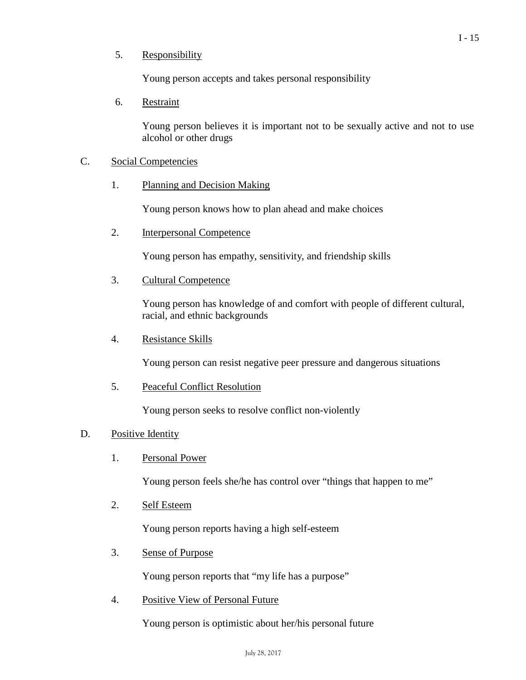Young person accepts and takes personal responsibility

6. Restraint

Young person believes it is important not to be sexually active and not to use alcohol or other drugs

### C. Social Competencies

1. Planning and Decision Making

Young person knows how to plan ahead and make choices

2. Interpersonal Competence

Young person has empathy, sensitivity, and friendship skills

3. Cultural Competence

Young person has knowledge of and comfort with people of different cultural, racial, and ethnic backgrounds

4. Resistance Skills

Young person can resist negative peer pressure and dangerous situations

5. Peaceful Conflict Resolution

Young person seeks to resolve conflict non-violently

### D. Positive Identity

1. Personal Power

Young person feels she/he has control over "things that happen to me"

2. Self Esteem

Young person reports having a high self-esteem

3. Sense of Purpose

Young person reports that "my life has a purpose"

4. Positive View of Personal Future

Young person is optimistic about her/his personal future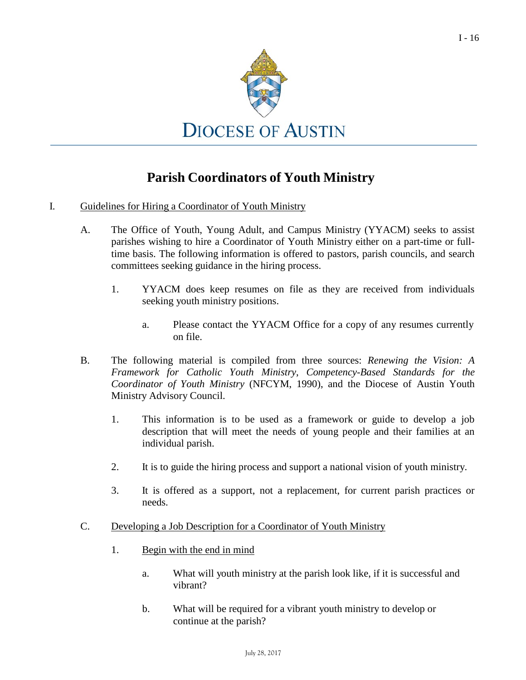

## **Parish Coordinators of Youth Ministry**

- I. Guidelines for Hiring a Coordinator of Youth Ministry
	- A. The Office of Youth, Young Adult, and Campus Ministry (YYACM) seeks to assist parishes wishing to hire a Coordinator of Youth Ministry either on a part-time or fulltime basis. The following information is offered to pastors, parish councils, and search committees seeking guidance in the hiring process.
		- 1. YYACM does keep resumes on file as they are received from individuals seeking youth ministry positions.
			- a. Please contact the YYACM Office for a copy of any resumes currently on file.
	- B. The following material is compiled from three sources: *Renewing the Vision: A Framework for Catholic Youth Ministry*, *Competency-Based Standards for the Coordinator of Youth Ministry* (NFCYM, 1990), and the Diocese of Austin Youth Ministry Advisory Council.
		- 1. This information is to be used as a framework or guide to develop a job description that will meet the needs of young people and their families at an individual parish.
		- 2. It is to guide the hiring process and support a national vision of youth ministry.
		- 3. It is offered as a support, not a replacement, for current parish practices or needs.
	- C. Developing a Job Description for a Coordinator of Youth Ministry
		- 1. Begin with the end in mind
			- a. What will youth ministry at the parish look like, if it is successful and vibrant?
			- b. What will be required for a vibrant youth ministry to develop or continue at the parish?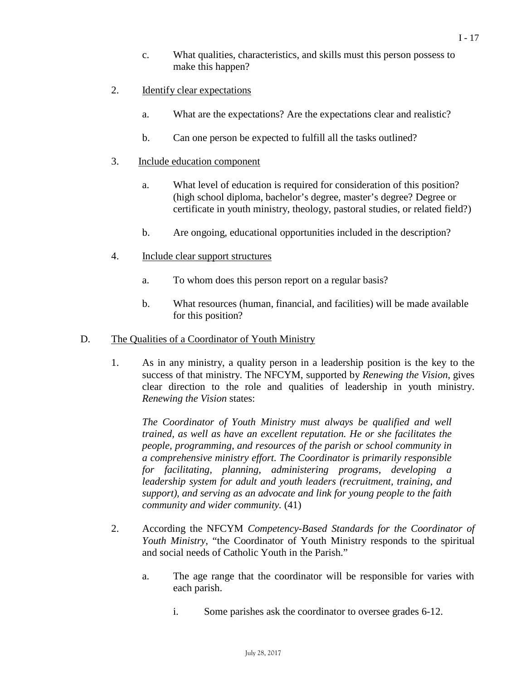- c. What qualities, characteristics, and skills must this person possess to make this happen?
- 2. Identify clear expectations
	- a. What are the expectations? Are the expectations clear and realistic?
	- b. Can one person be expected to fulfill all the tasks outlined?
- 3. Include education component
	- a. What level of education is required for consideration of this position? (high school diploma, bachelor's degree, master's degree? Degree or certificate in youth ministry, theology, pastoral studies, or related field?)
	- b. Are ongoing, educational opportunities included in the description?
- 4. Include clear support structures
	- a. To whom does this person report on a regular basis?
	- b. What resources (human, financial, and facilities) will be made available for this position?

#### D. The Qualities of a Coordinator of Youth Ministry

1. As in any ministry, a quality person in a leadership position is the key to the success of that ministry. The NFCYM, supported by *Renewing the Vision*, gives clear direction to the role and qualities of leadership in youth ministry. *Renewing the Vision* states:

*The Coordinator of Youth Ministry must always be qualified and well trained, as well as have an excellent reputation. He or she facilitates the people, programming, and resources of the parish or school community in a comprehensive ministry effort. The Coordinator is primarily responsible for facilitating, planning, administering programs, developing a leadership system for adult and youth leaders (recruitment, training, and support), and serving as an advocate and link for young people to the faith community and wider community.* (41)

- 2. According the NFCYM *Competency-Based Standards for the Coordinator of Youth Ministry*, "the Coordinator of Youth Ministry responds to the spiritual and social needs of Catholic Youth in the Parish."
	- a. The age range that the coordinator will be responsible for varies with each parish.
		- i. Some parishes ask the coordinator to oversee grades 6-12.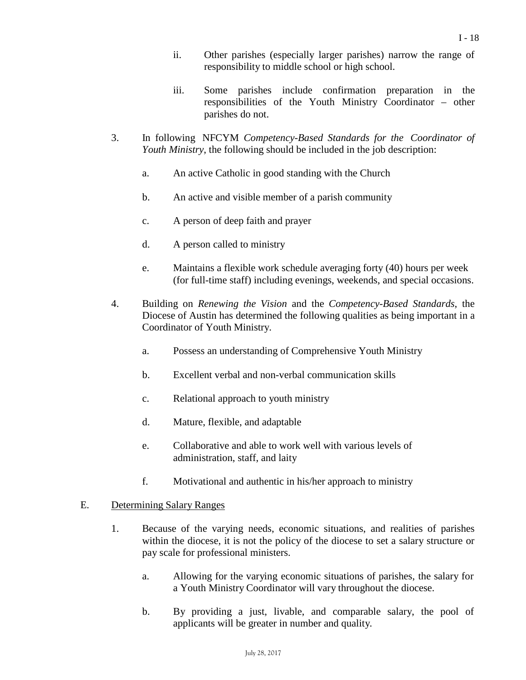- ii. Other parishes (especially larger parishes) narrow the range of responsibility to middle school or high school.
- iii. Some parishes include confirmation preparation in the responsibilities of the Youth Ministry Coordinator – other parishes do not.
- 3. In following NFCYM *Competency-Based Standards for the Coordinator of Youth Ministry*, the following should be included in the job description:
	- a. An active Catholic in good standing with the Church
	- b. An active and visible member of a parish community
	- c. A person of deep faith and prayer
	- d. A person called to ministry
	- e. Maintains a flexible work schedule averaging forty (40) hours per week (for full-time staff) including evenings, weekends, and special occasions.
- 4. Building on *Renewing the Vision* and the *Competency-Based Standards*, the Diocese of Austin has determined the following qualities as being important in a Coordinator of Youth Ministry.
	- a. Possess an understanding of Comprehensive Youth Ministry
	- b. Excellent verbal and non-verbal communication skills
	- c. Relational approach to youth ministry
	- d. Mature, flexible, and adaptable
	- e. Collaborative and able to work well with various levels of administration, staff, and laity
	- f. Motivational and authentic in his/her approach to ministry

### E. Determining Salary Ranges

- 1. Because of the varying needs, economic situations, and realities of parishes within the diocese, it is not the policy of the diocese to set a salary structure or pay scale for professional ministers.
	- a. Allowing for the varying economic situations of parishes, the salary for a Youth Ministry Coordinator will vary throughout the diocese.
	- b. By providing a just, livable, and comparable salary, the pool of applicants will be greater in number and quality.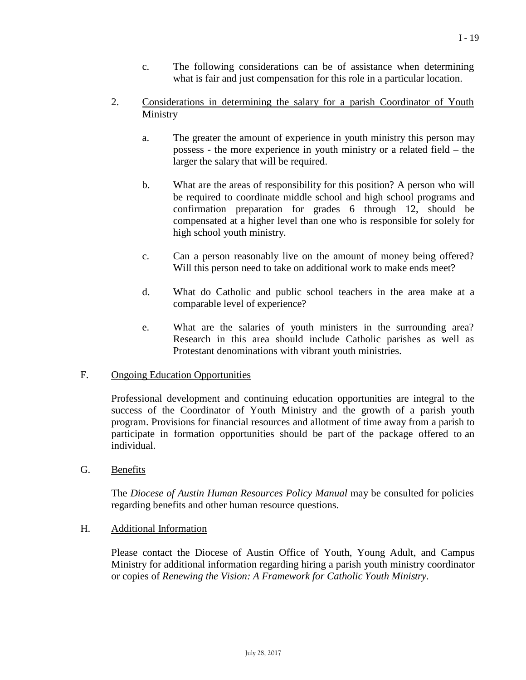- c. The following considerations can be of assistance when determining what is fair and just compensation for this role in a particular location.
- 2. Considerations in determining the salary for a parish Coordinator of Youth Ministry
	- a. The greater the amount of experience in youth ministry this person may possess - the more experience in youth ministry or a related field – the larger the salary that will be required.
	- b. What are the areas of responsibility for this position? A person who will be required to coordinate middle school and high school programs and confirmation preparation for grades 6 through 12, should be compensated at a higher level than one who is responsible for solely for high school youth ministry.
	- c. Can a person reasonably live on the amount of money being offered? Will this person need to take on additional work to make ends meet?
	- d. What do Catholic and public school teachers in the area make at a comparable level of experience?
	- e. What are the salaries of youth ministers in the surrounding area? Research in this area should include Catholic parishes as well as Protestant denominations with vibrant youth ministries.

### F. Ongoing Education Opportunities

Professional development and continuing education opportunities are integral to the success of the Coordinator of Youth Ministry and the growth of a parish youth program. Provisions for financial resources and allotment of time away from a parish to participate in formation opportunities should be part of the package offered to an individual.

G. Benefits

The *Diocese of Austin Human Resources Policy Manual* may be consulted for policies regarding benefits and other human resource questions.

### H. Additional Information

Please contact the Diocese of Austin Office of Youth, Young Adult, and Campus Ministry for additional information regarding hiring a parish youth ministry coordinator or copies of *Renewing the Vision: A Framework for Catholic Youth Ministry*.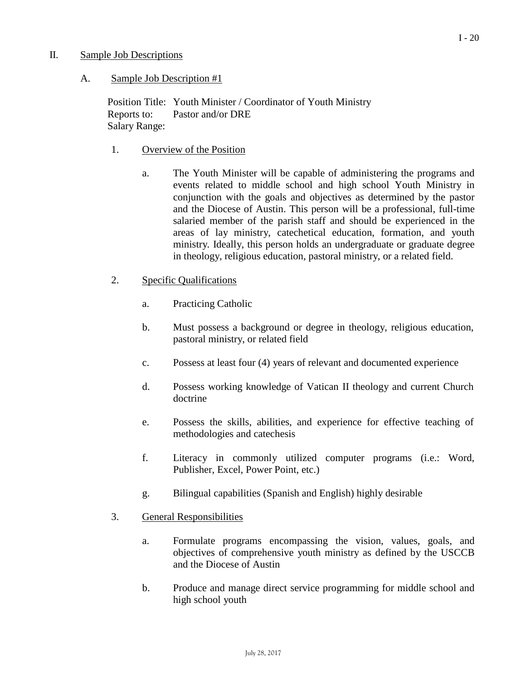### II. Sample Job Descriptions

### A. Sample Job Description #1

Position Title: Youth Minister / Coordinator of Youth Ministry Reports to: Pastor and/or DRE Salary Range:

### 1. Overview of the Position

- a. The Youth Minister will be capable of administering the programs and events related to middle school and high school Youth Ministry in conjunction with the goals and objectives as determined by the pastor and the Diocese of Austin. This person will be a professional, full-time salaried member of the parish staff and should be experienced in the areas of lay ministry, catechetical education, formation, and youth ministry. Ideally, this person holds an undergraduate or graduate degree in theology, religious education, pastoral ministry, or a related field.
- 2. Specific Qualifications
	- a. Practicing Catholic
	- b. Must possess a background or degree in theology, religious education, pastoral ministry, or related field
	- c. Possess at least four (4) years of relevant and documented experience
	- d. Possess working knowledge of Vatican II theology and current Church doctrine
	- e. Possess the skills, abilities, and experience for effective teaching of methodologies and catechesis
	- f. Literacy in commonly utilized computer programs (i.e.: Word, Publisher, Excel, Power Point, etc.)
	- g. Bilingual capabilities (Spanish and English) highly desirable
- 3. General Responsibilities
	- a. Formulate programs encompassing the vision, values, goals, and objectives of comprehensive youth ministry as defined by the USCCB and the Diocese of Austin
	- b. Produce and manage direct service programming for middle school and high school youth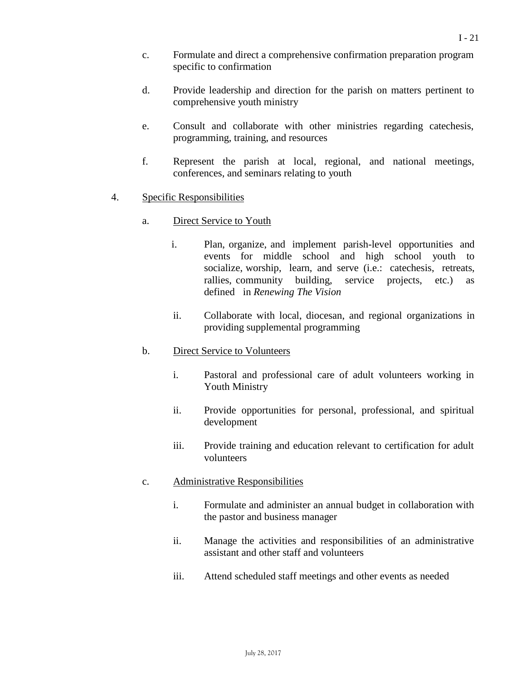- c. Formulate and direct a comprehensive confirmation preparation program specific to confirmation
- d. Provide leadership and direction for the parish on matters pertinent to comprehensive youth ministry
- e. Consult and collaborate with other ministries regarding catechesis, programming, training, and resources
- f. Represent the parish at local, regional, and national meetings, conferences, and seminars relating to youth
- 4. Specific Responsibilities
	- a. Direct Service to Youth
		- i. Plan, organize, and implement parish-level opportunities and events for middle school and high school youth to socialize, worship, learn, and serve (i.e.: catechesis, retreats, rallies, community building, service projects, etc.) as defined in *Renewing The Vision*
		- ii. Collaborate with local, diocesan, and regional organizations in providing supplemental programming
	- b. Direct Service to Volunteers
		- i. Pastoral and professional care of adult volunteers working in Youth Ministry
		- ii. Provide opportunities for personal, professional, and spiritual development
		- iii. Provide training and education relevant to certification for adult volunteers
	- c. Administrative Responsibilities
		- i. Formulate and administer an annual budget in collaboration with the pastor and business manager
		- ii. Manage the activities and responsibilities of an administrative assistant and other staff and volunteers
		- iii. Attend scheduled staff meetings and other events as needed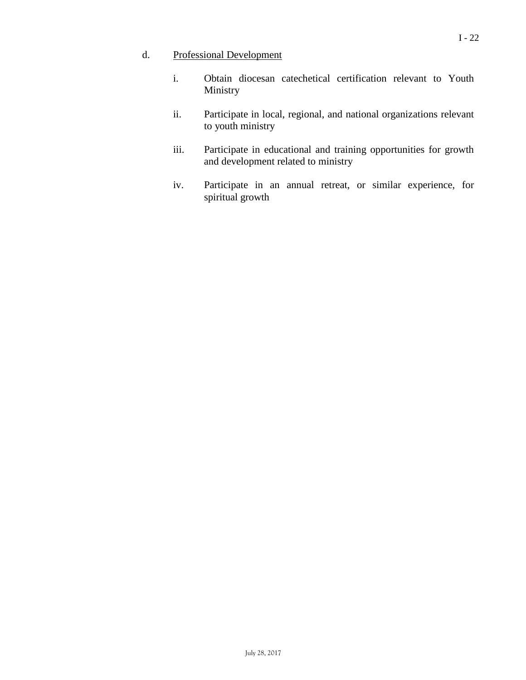### d. Professional Development

- i. Obtain diocesan catechetical certification relevant to Youth Ministry
- ii. Participate in local, regional, and national organizations relevant to youth ministry
- iii. Participate in educational and training opportunities for growth and development related to ministry
- iv. Participate in an annual retreat, or similar experience, for spiritual growth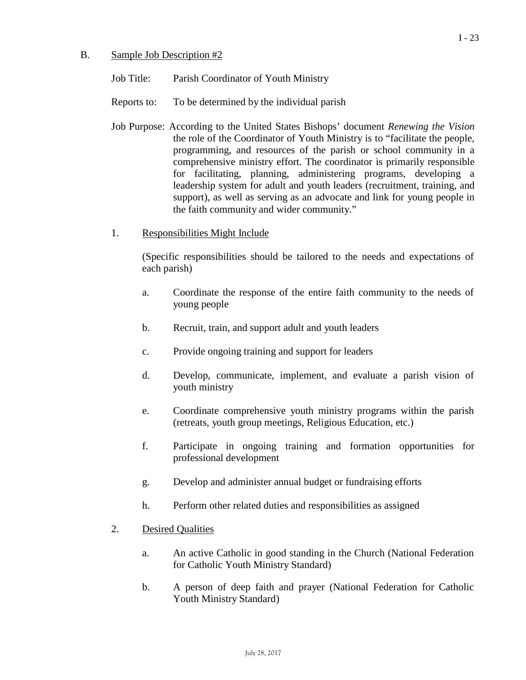### B. Sample Job Description #2

- Job Title: Parish Coordinator of Youth Ministry
- Reports to: To be determined by the individual parish
- Job Purpose: According to the United States Bishops' document *Renewing the Vision*  the role of the Coordinator of Youth Ministry is to "facilitate the people, programming, and resources of the parish or school community in a comprehensive ministry effort. The coordinator is primarily responsible for facilitating, planning, administering programs, developing a leadership system for adult and youth leaders (recruitment, training, and support), as well as serving as an advocate and link for young people in the faith community and wider community."
- 1. Responsibilities Might Include

(Specific responsibilities should be tailored to the needs and expectations of each parish)

- a. Coordinate the response of the entire faith community to the needs of young people
- b. Recruit, train, and support adult and youth leaders
- c. Provide ongoing training and support for leaders
- d. Develop, communicate, implement, and evaluate a parish vision of youth ministry
- e. Coordinate comprehensive youth ministry programs within the parish (retreats, youth group meetings, Religious Education, etc.)
- f. Participate in ongoing training and formation opportunities for professional development
- g. Develop and administer annual budget or fundraising efforts
- h. Perform other related duties and responsibilities as assigned
- 2. Desired Qualities
	- a. An active Catholic in good standing in the Church (National Federation for Catholic Youth Ministry Standard)
	- b. A person of deep faith and prayer (National Federation for Catholic Youth Ministry Standard)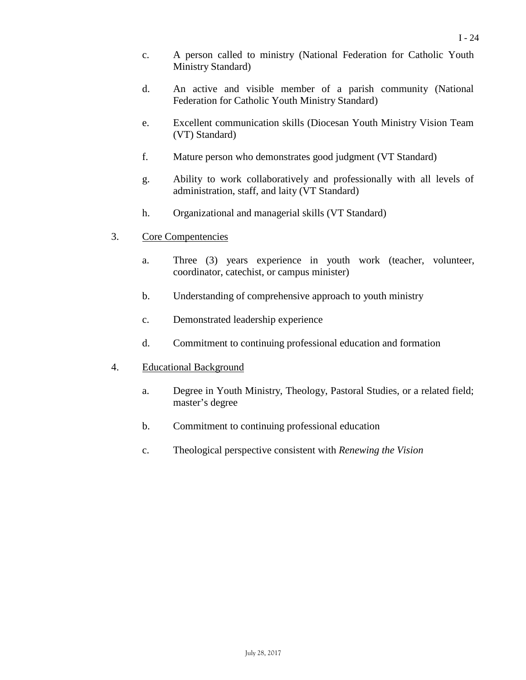- c. A person called to ministry (National Federation for Catholic Youth Ministry Standard)
- d. An active and visible member of a parish community (National Federation for Catholic Youth Ministry Standard)
- e. Excellent communication skills (Diocesan Youth Ministry Vision Team (VT) Standard)
- f. Mature person who demonstrates good judgment (VT Standard)
- g. Ability to work collaboratively and professionally with all levels of administration, staff, and laity (VT Standard)
- h. Organizational and managerial skills (VT Standard)
- 3. Core Compentencies
	- a. Three (3) years experience in youth work (teacher, volunteer, coordinator, catechist, or campus minister)
	- b. Understanding of comprehensive approach to youth ministry
	- c. Demonstrated leadership experience
	- d. Commitment to continuing professional education and formation
- 4. Educational Background
	- a. Degree in Youth Ministry, Theology, Pastoral Studies, or a related field; master's degree
	- b. Commitment to continuing professional education
	- c. Theological perspective consistent with *Renewing the Vision*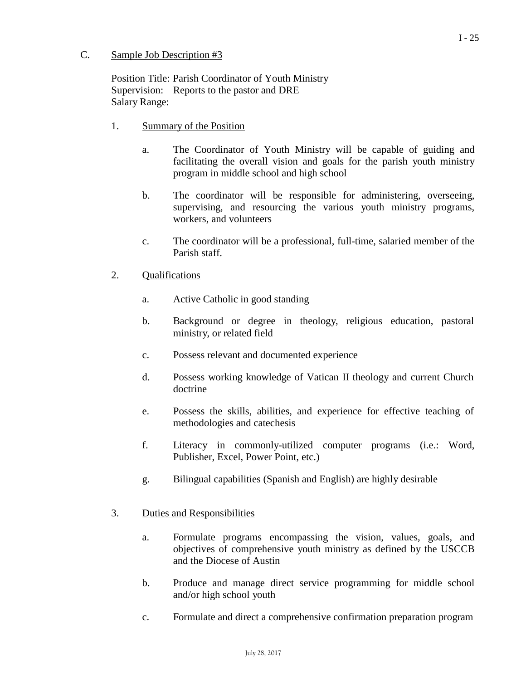### C. Sample Job Description #3

Position Title: Parish Coordinator of Youth Ministry Supervision: Reports to the pastor and DRE Salary Range:

- 1. Summary of the Position
	- a. The Coordinator of Youth Ministry will be capable of guiding and facilitating the overall vision and goals for the parish youth ministry program in middle school and high school
	- b. The coordinator will be responsible for administering, overseeing, supervising, and resourcing the various youth ministry programs, workers, and volunteers
	- c. The coordinator will be a professional, full-time, salaried member of the Parish staff.
- 2. Qualifications
	- a. Active Catholic in good standing
	- b. Background or degree in theology, religious education, pastoral ministry, or related field
	- c. Possess relevant and documented experience
	- d. Possess working knowledge of Vatican II theology and current Church doctrine
	- e. Possess the skills, abilities, and experience for effective teaching of methodologies and catechesis
	- f. Literacy in commonly-utilized computer programs (i.e.: Word, Publisher, Excel, Power Point, etc.)
	- g. Bilingual capabilities (Spanish and English) are highly desirable
- 3. Duties and Responsibilities
	- a. Formulate programs encompassing the vision, values, goals, and objectives of comprehensive youth ministry as defined by the USCCB and the Diocese of Austin
	- b. Produce and manage direct service programming for middle school and/or high school youth
	- c. Formulate and direct a comprehensive confirmation preparation program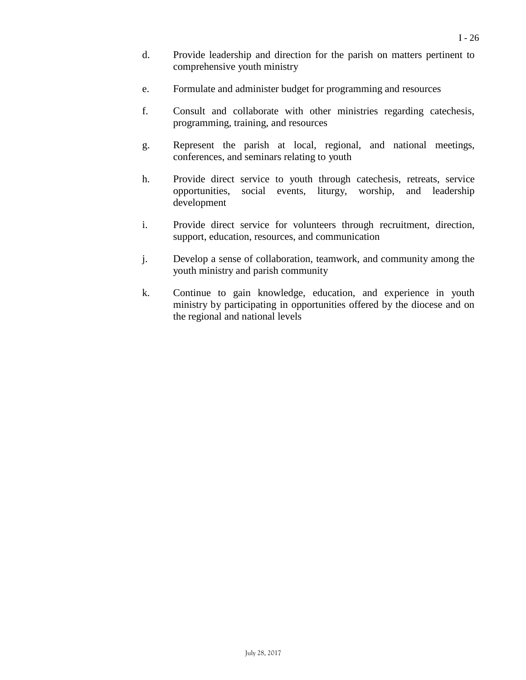- d. Provide leadership and direction for the parish on matters pertinent to comprehensive youth ministry
- e. Formulate and administer budget for programming and resources
- f. Consult and collaborate with other ministries regarding catechesis, programming, training, and resources
- g. Represent the parish at local, regional, and national meetings, conferences, and seminars relating to youth
- h. Provide direct service to youth through catechesis, retreats, service opportunities, social events, liturgy, worship, and leadership development
- i. Provide direct service for volunteers through recruitment, direction, support, education, resources, and communication
- j. Develop a sense of collaboration, teamwork, and community among the youth ministry and parish community
- k. Continue to gain knowledge, education, and experience in youth ministry by participating in opportunities offered by the diocese and on the regional and national levels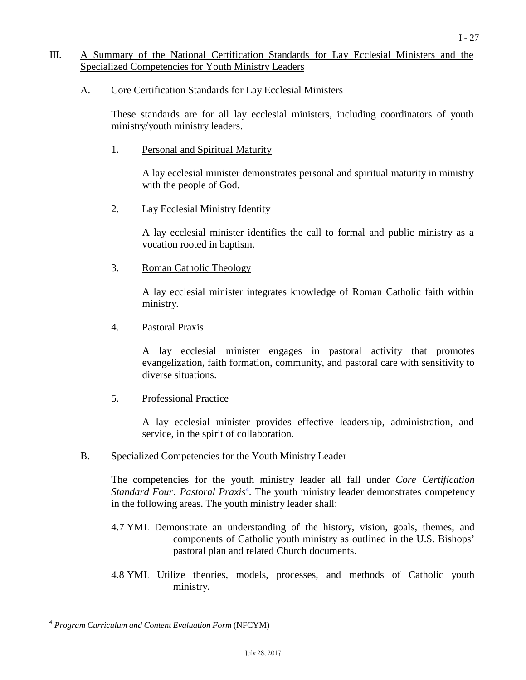### III. A Summary of the National Certification Standards for Lay Ecclesial Ministers and the Specialized Competencies for Youth Ministry Leaders

### A. Core Certification Standards for Lay Ecclesial Ministers

These standards are for all lay ecclesial ministers, including coordinators of youth ministry/youth ministry leaders.

1. Personal and Spiritual Maturity

A lay ecclesial minister demonstrates personal and spiritual maturity in ministry with the people of God.

2. Lay Ecclesial Ministry Identity

A lay ecclesial minister identifies the call to formal and public ministry as a vocation rooted in baptism.

3. Roman Catholic Theology

A lay ecclesial minister integrates knowledge of Roman Catholic faith within ministry.

4. Pastoral Praxis

A lay ecclesial minister engages in pastoral activity that promotes evangelization, faith formation, community, and pastoral care with sensitivity to diverse situations.

### 5. Professional Practice

A lay ecclesial minister provides effective leadership, administration, and service, in the spirit of collaboration*.*

### B. Specialized Competencies for the Youth Ministry Leader

The competencies for the youth ministry leader all fall under *Core Certification*  Standard Four: Pastoral Praxis<sup>4</sup>[.](#page-26-0) The youth ministry leader demonstrates competency in the following areas. The youth ministry leader shall:

- 4.7 YML Demonstrate an understanding of the history, vision, goals, themes, and components of Catholic youth ministry as outlined in the U.S. Bishops' pastoral plan and related Church documents.
- <span id="page-26-0"></span>4.8 YML Utilize theories, models, processes, and methods of Catholic youth ministry.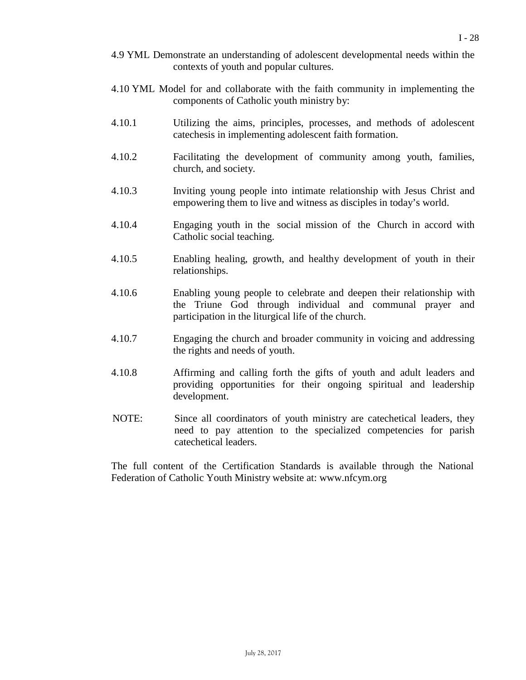- 4.9 YML Demonstrate an understanding of adolescent developmental needs within the contexts of youth and popular cultures.
- 4.10 YML Model for and collaborate with the faith community in implementing the components of Catholic youth ministry by:
- 4.10.1 Utilizing the aims, principles, processes, and methods of adolescent catechesis in implementing adolescent faith formation.
- 4.10.2 Facilitating the development of community among youth, families, church, and society.
- 4.10.3 Inviting young people into intimate relationship with Jesus Christ and empowering them to live and witness as disciples in today's world.
- 4.10.4 Engaging youth in the social mission of the Church in accord with Catholic social teaching.
- 4.10.5 Enabling healing, growth, and healthy development of youth in their relationships.
- 4.10.6 Enabling young people to celebrate and deepen their relationship with the Triune God through individual and communal prayer and participation in the liturgical life of the church.
- 4.10.7 Engaging the church and broader community in voicing and addressing the rights and needs of youth.
- 4.10.8 Affirming and calling forth the gifts of youth and adult leaders and providing opportunities for their ongoing spiritual and leadership development.
- NOTE: Since all coordinators of youth ministry are catechetical leaders, they need to pay attention to the specialized competencies for parish catechetical leaders.

The full content of the Certification Standards is available through the National Federation of Catholic Youth Ministry website at: [www.nfcym.org](http://www.nfcym.org/)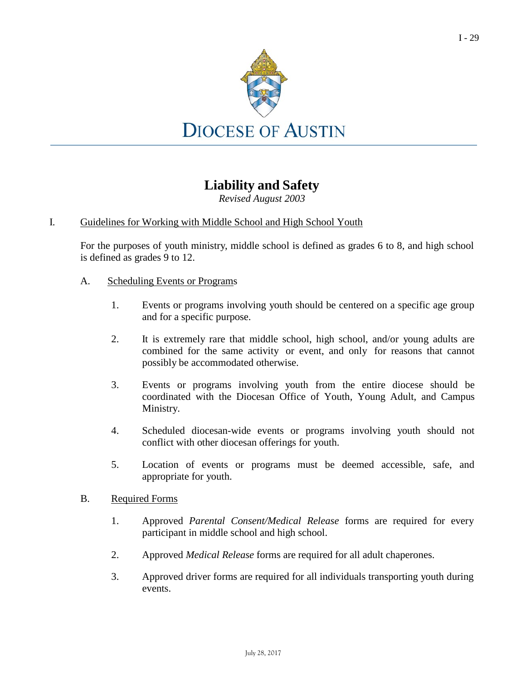

# **Liability and Safety**

*Revised August 2003*

### I. Guidelines for Working with Middle School and High School Youth

For the purposes of youth ministry, middle school is defined as grades 6 to 8, and high school is defined as grades 9 to 12.

- A. Scheduling Events or Programs
	- 1. Events or programs involving youth should be centered on a specific age group and for a specific purpose.
	- 2. It is extremely rare that middle school, high school, and/or young adults are combined for the same activity or event, and only for reasons that cannot possibly be accommodated otherwise.
	- 3. Events or programs involving youth from the entire diocese should be coordinated with the Diocesan Office of Youth, Young Adult, and Campus Ministry.
	- 4. Scheduled diocesan-wide events or programs involving youth should not conflict with other diocesan offerings for youth.
	- 5. Location of events or programs must be deemed accessible, safe, and appropriate for youth.
- B. Required Forms
	- 1. Approved *Parental Consent/Medical Release* forms are required for every participant in middle school and high school.
	- 2. Approved *Medical Release* forms are required for all adult chaperones.
	- 3. Approved driver forms are required for all individuals transporting youth during events.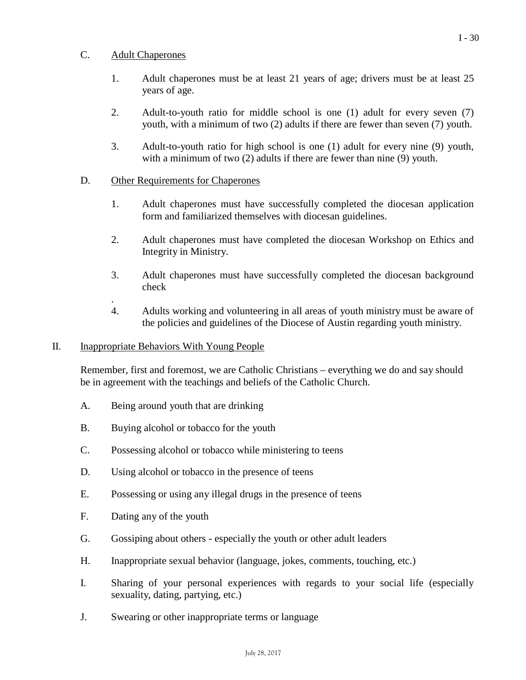### C. Adult Chaperones

- 1. Adult chaperones must be at least 21 years of age; drivers must be at least 25 years of age.
- 2. Adult-to-youth ratio for middle school is one (1) adult for every seven (7) youth, with a minimum of two (2) adults if there are fewer than seven (7) youth.
- 3. Adult-to-youth ratio for high school is one (1) adult for every nine (9) youth, with a minimum of two (2) adults if there are fewer than nine (9) youth.

### D. Other Requirements for Chaperones

- 1. Adult chaperones must have successfully completed the diocesan application form and familiarized themselves with diocesan guidelines.
- 2. Adult chaperones must have completed the diocesan Workshop on Ethics and Integrity in Ministry.
- 3. Adult chaperones must have successfully completed the diocesan background check
- . 4. Adults working and volunteering in all areas of youth ministry must be aware of the policies and guidelines of the Diocese of Austin regarding youth ministry.

### II. Inappropriate Behaviors With Young People

Remember, first and foremost, we are Catholic Christians – everything we do and say should be in agreement with the teachings and beliefs of the Catholic Church.

- A. Being around youth that are drinking
- B. Buying alcohol or tobacco for the youth
- C. Possessing alcohol or tobacco while ministering to teens
- D. Using alcohol or tobacco in the presence of teens
- E. Possessing or using any illegal drugs in the presence of teens
- F. Dating any of the youth
- G. Gossiping about others especially the youth or other adult leaders
- H. Inappropriate sexual behavior (language, jokes, comments, touching, etc.)
- I. Sharing of your personal experiences with regards to your social life (especially sexuality, dating, partying, etc.)
- J. Swearing or other inappropriate terms or language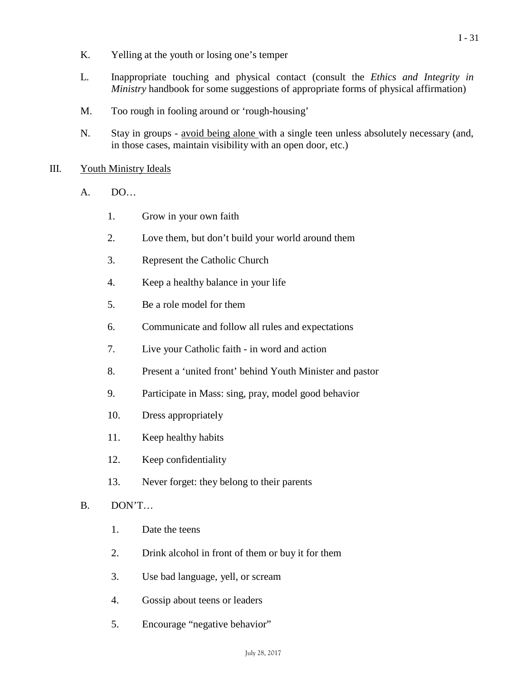- K. Yelling at the youth or losing one's temper
- L. Inappropriate touching and physical contact (consult the *Ethics and Integrity in Ministry* handbook for some suggestions of appropriate forms of physical affirmation)
- M. Too rough in fooling around or 'rough-housing'
- N. Stay in groups avoid being alone with a single teen unless absolutely necessary (and, in those cases, maintain visibility with an open door, etc.)

### III. Youth Ministry Ideals

- A. DO…
	- 1. Grow in your own faith
	- 2. Love them, but don't build your world around them
	- 3. Represent the Catholic Church
	- 4. Keep a healthy balance in your life
	- 5. Be a role model for them
	- 6. Communicate and follow all rules and expectations
	- 7. Live your Catholic faith in word and action
	- 8. Present a 'united front' behind Youth Minister and pastor
	- 9. Participate in Mass: sing, pray, model good behavior
	- 10. Dress appropriately
	- 11. Keep healthy habits
	- 12. Keep confidentiality
	- 13. Never forget: they belong to their parents
- B. DON'T…
	- 1. Date the teens
	- 2. Drink alcohol in front of them or buy it for them
	- 3. Use bad language, yell, or scream
	- 4. Gossip about teens or leaders
	- 5. Encourage "negative behavior"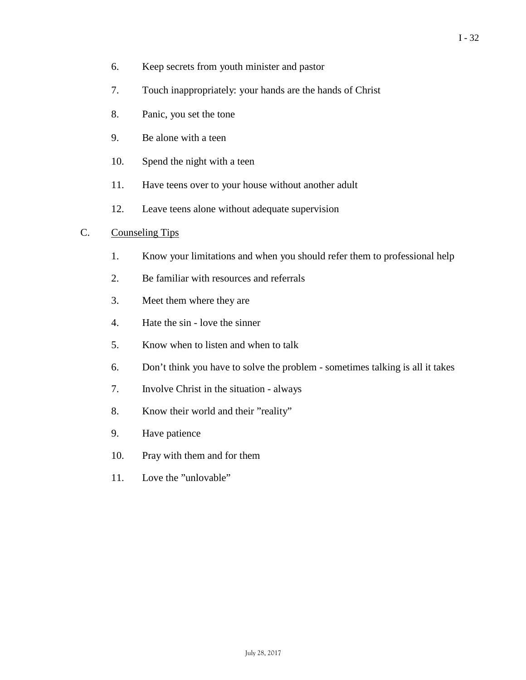- 6. Keep secrets from youth minister and pastor
- 7. Touch inappropriately: your hands are the hands of Christ
- 8. Panic, you set the tone
- 9. Be alone with a teen
- 10. Spend the night with a teen
- 11. Have teens over to your house without another adult
- 12. Leave teens alone without adequate supervision

#### C. Counseling Tips

- 1. Know your limitations and when you should refer them to professional help
- 2. Be familiar with resources and referrals
- 3. Meet them where they are
- 4. Hate the sin love the sinner
- 5. Know when to listen and when to talk
- 6. Don't think you have to solve the problem sometimes talking is all it takes
- 7. Involve Christ in the situation always
- 8. Know their world and their "reality"
- 9. Have patience
- 10. Pray with them and for them
- 11. Love the "unlovable"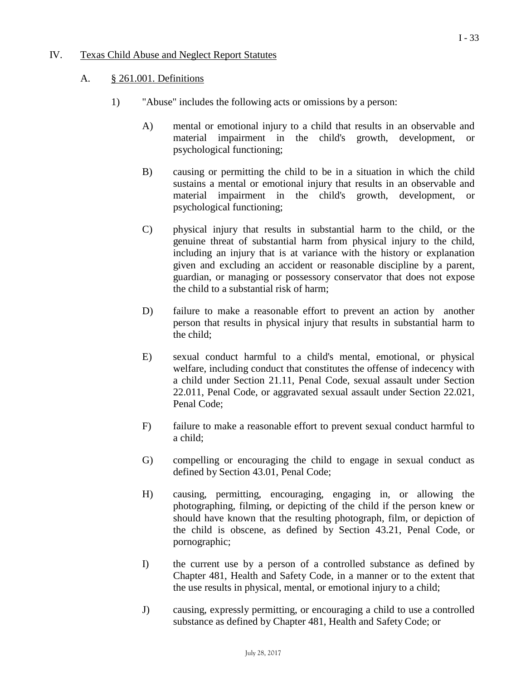### IV. Texas Child Abuse and Neglect Report Statutes

### A. § 261.001. Definitions

- 1) "Abuse" includes the following acts or omissions by a person:
	- A) mental or emotional injury to a child that results in an observable and material impairment in the child's growth, development, or psychological functioning;
	- B) causing or permitting the child to be in a situation in which the child sustains a mental or emotional injury that results in an observable and material impairment in the child's growth, development, or psychological functioning;
	- C) physical injury that results in substantial harm to the child, or the genuine threat of substantial harm from physical injury to the child, including an injury that is at variance with the history or explanation given and excluding an accident or reasonable discipline by a parent, guardian, or managing or possessory conservator that does not expose the child to a substantial risk of harm;
	- D) failure to make a reasonable effort to prevent an action by another person that results in physical injury that results in substantial harm to the child;
	- E) sexual conduct harmful to a child's mental, emotional, or physical welfare, including conduct that constitutes the offense of indecency with a child under Section 21.11, Penal Code, sexual assault under Section 22.011, Penal Code, or aggravated sexual assault under Section 22.021, Penal Code;
	- F) failure to make a reasonable effort to prevent sexual conduct harmful to a child;
	- G) compelling or encouraging the child to engage in sexual conduct as defined by Section 43.01, Penal Code;
	- H) causing, permitting, encouraging, engaging in, or allowing the photographing, filming, or depicting of the child if the person knew or should have known that the resulting photograph, film, or depiction of the child is obscene, as defined by Section 43.21, Penal Code, or pornographic;
	- I) the current use by a person of a controlled substance as defined by Chapter 481, Health and Safety Code, in a manner or to the extent that the use results in physical, mental, or emotional injury to a child;
	- J) causing, expressly permitting, or encouraging a child to use a controlled substance as defined by Chapter 481, Health and Safety Code; or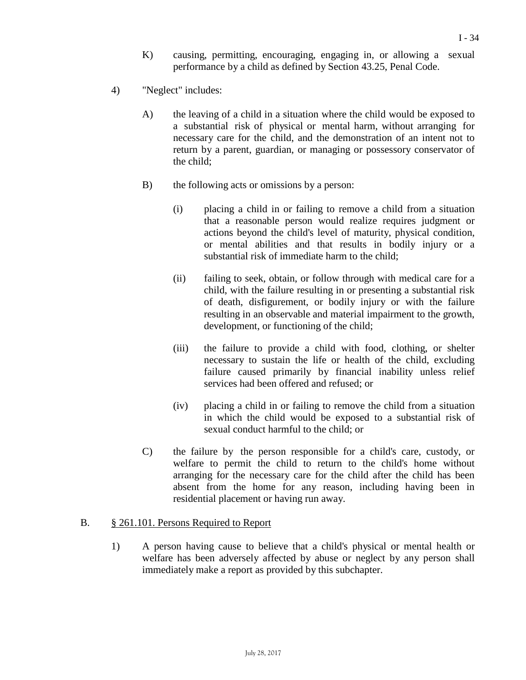- K) causing, permitting, encouraging, engaging in, or allowing a sexual performance by a child as defined by Section 43.25, Penal Code.
- 4) "Neglect" includes:
	- A) the leaving of a child in a situation where the child would be exposed to a substantial risk of physical or mental harm, without arranging for necessary care for the child, and the demonstration of an intent not to return by a parent, guardian, or managing or possessory conservator of the child;
	- B) the following acts or omissions by a person:
		- (i) placing a child in or failing to remove a child from a situation that a reasonable person would realize requires judgment or actions beyond the child's level of maturity, physical condition, or mental abilities and that results in bodily injury or a substantial risk of immediate harm to the child;
		- (ii) failing to seek, obtain, or follow through with medical care for a child, with the failure resulting in or presenting a substantial risk of death, disfigurement, or bodily injury or with the failure resulting in an observable and material impairment to the growth, development, or functioning of the child;
		- (iii) the failure to provide a child with food, clothing, or shelter necessary to sustain the life or health of the child, excluding failure caused primarily by financial inability unless relief services had been offered and refused; or
		- (iv) placing a child in or failing to remove the child from a situation in which the child would be exposed to a substantial risk of sexual conduct harmful to the child; or
	- C) the failure by the person responsible for a child's care, custody, or welfare to permit the child to return to the child's home without arranging for the necessary care for the child after the child has been absent from the home for any reason, including having been in residential placement or having run away.

### B. § 261.101. Persons Required to Report

1) A person having cause to believe that a child's physical or mental health or welfare has been adversely affected by abuse or neglect by any person shall immediately make a report as provided by this subchapter.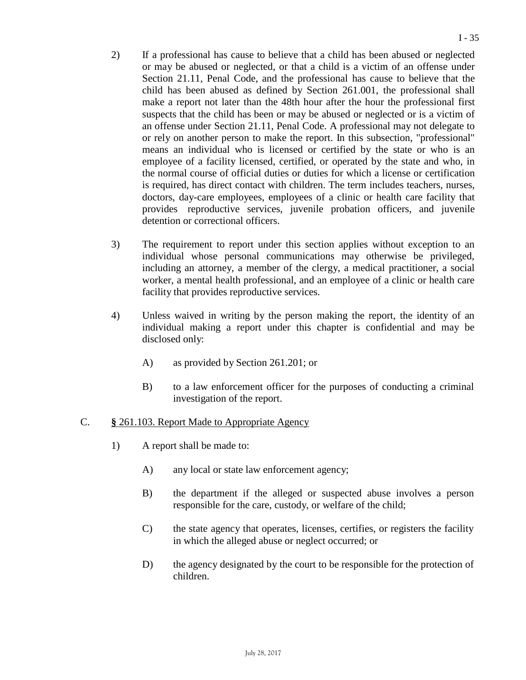- 2) If a professional has cause to believe that a child has been abused or neglected or may be abused or neglected, or that a child is a victim of an offense under Section 21.11, Penal Code, and the professional has cause to believe that the child has been abused as defined by Section 261.001, the professional shall make a report not later than the 48th hour after the hour the professional first suspects that the child has been or may be abused or neglected or is a victim of an offense under Section 21.11, Penal Code. A professional may not delegate to or rely on another person to make the report. In this subsection, "professional" means an individual who is licensed or certified by the state or who is an employee of a facility licensed, certified, or operated by the state and who, in the normal course of official duties or duties for which a license or certification is required, has direct contact with children. The term includes teachers, nurses, doctors, day-care employees, employees of a clinic or health care facility that provides reproductive services, juvenile probation officers, and juvenile detention or correctional officers.
- 3) The requirement to report under this section applies without exception to an individual whose personal communications may otherwise be privileged, including an attorney, a member of the clergy, a medical practitioner, a social worker, a mental health professional, and an employee of a clinic or health care facility that provides reproductive services.
- 4) Unless waived in writing by the person making the report, the identity of an individual making a report under this chapter is confidential and may be disclosed only:
	- A) as provided by Section 261.201; or
	- B) to a law enforcement officer for the purposes of conducting a criminal investigation of the report.

### C. **§** 261.103. Report Made to Appropriate Agency

- 1) A report shall be made to:
	- A) any local or state law enforcement agency;
	- B) the department if the alleged or suspected abuse involves a person responsible for the care, custody, or welfare of the child;
	- C) the state agency that operates, licenses, certifies, or registers the facility in which the alleged abuse or neglect occurred; or
	- D) the agency designated by the court to be responsible for the protection of children.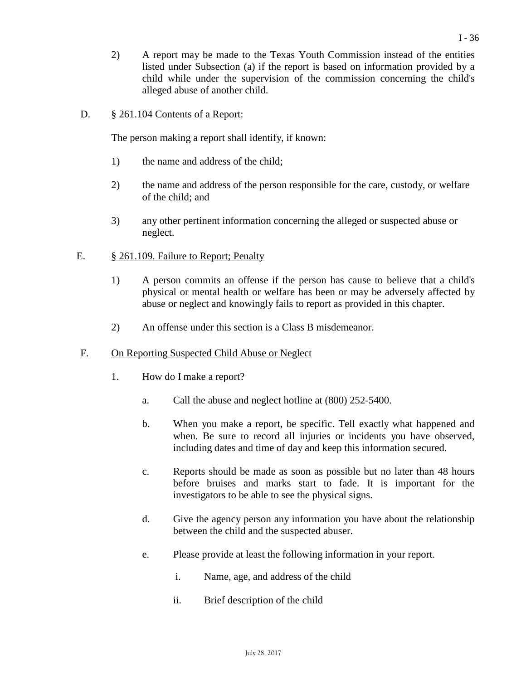- 2) A report may be made to the Texas Youth Commission instead of the entities listed under Subsection (a) if the report is based on information provided by a child while under the supervision of the commission concerning the child's alleged abuse of another child.
- D. [§ 261.104 C](http://www.capitol.state.tx.us/statutes/fa/fa026100.html#fa008.261.104)ontents of a Report:

The person making a report shall identify, if known:

- 1) the name and address of the child;
- 2) the name and address of the person responsible for the care, custody, or welfare of the child; and
- 3) any other pertinent information concerning the alleged or suspected abuse or neglect.
- E. § 261.109. Failure to Report; Penalty
	- 1) A person commits an offense if the person has cause to believe that a child's physical or mental health or welfare has been or may be adversely affected by abuse or neglect and knowingly fails to report as provided in this chapter.
	- 2) An offense under this section is a Class B misdemeanor.
- F. On Reporting Suspected Child Abuse or Neglect
	- 1. How do I make a report?
		- a. Call the abuse and neglect hotline at (800) 252-5400.
		- b. When you make a report, be specific. Tell exactly what happened and when. Be sure to record all injuries or incidents you have observed, including dates and time of day and keep this information secured.
		- c. Reports should be made as soon as possible but no later than 48 hours before bruises and marks start to fade. It is important for the investigators to be able to see the physical signs.
		- d. Give the agency person any information you have about the relationship between the child and the suspected abuser.
		- e. Please provide at least the following information in your report.
			- i. Name, age, and address of the child
			- ii. Brief description of the child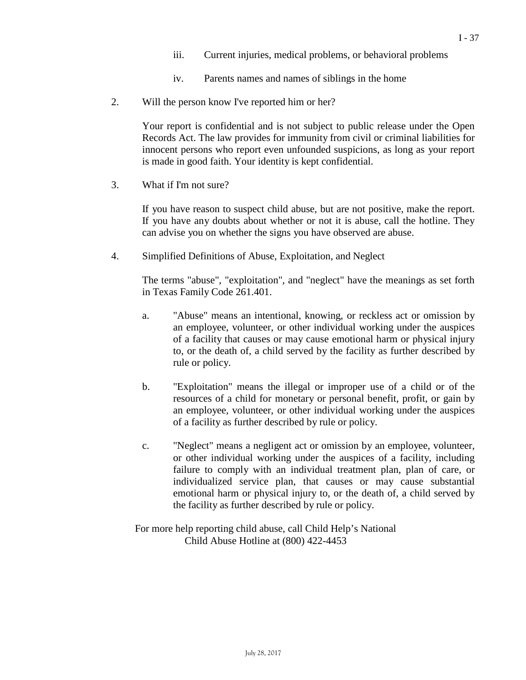- iii. Current injuries, medical problems, or behavioral problems
- iv. Parents names and names of siblings in the home
- 2. Will the person know I've reported him or her?

Your report is confidential and is not subject to public release under the Open Records Act. The law provides for immunity from civil or criminal liabilities for innocent persons who report even unfounded suspicions, as long as your report is made in good faith. Your identity is kept confidential.

3. What if I'm not sure?

If you have reason to suspect child abuse, but are not positive, make the report. If you have any doubts about whether or not it is abuse, call the hotline. They can advise you on whether the signs you have observed are abuse.

4. Simplified Definitions of Abuse, Exploitation, and Neglect

The terms "abuse", "exploitation", and "neglect" have the meanings as set forth in Texas Family Code 261.401.

- a. "Abuse" means an intentional, knowing, or reckless act or omission by an employee, volunteer, or other individual working under the auspices of a facility that causes or may cause emotional harm or physical injury to, or the death of, a child served by the facility as further described by rule or policy.
- b. "Exploitation" means the illegal or improper use of a child or of the resources of a child for monetary or personal benefit, profit, or gain by an employee, volunteer, or other individual working under the auspices of a facility as further described by rule or policy.
- c. "Neglect" means a negligent act or omission by an employee, volunteer, or other individual working under the auspices of a facility, including failure to comply with an individual treatment plan, plan of care, or individualized service plan, that causes or may cause substantial emotional harm or physical injury to, or the death of, a child served by the facility as further described by rule or policy.

For more help reporting child abuse, call Child Help's National Child Abuse Hotline at (800) 422-4453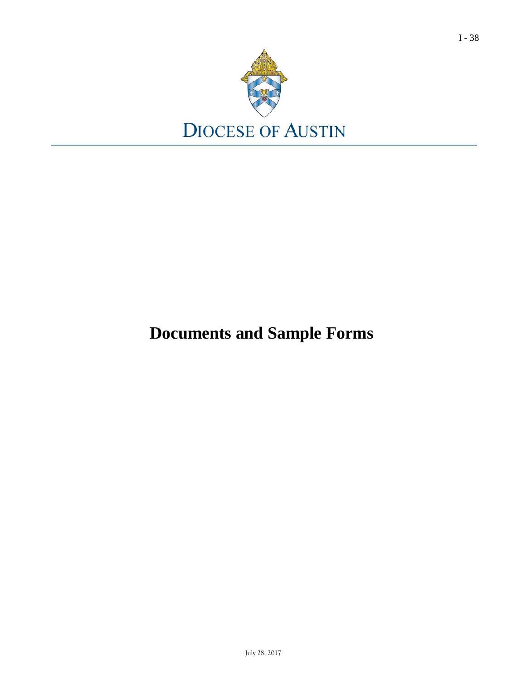

# **Documents and Sample Forms**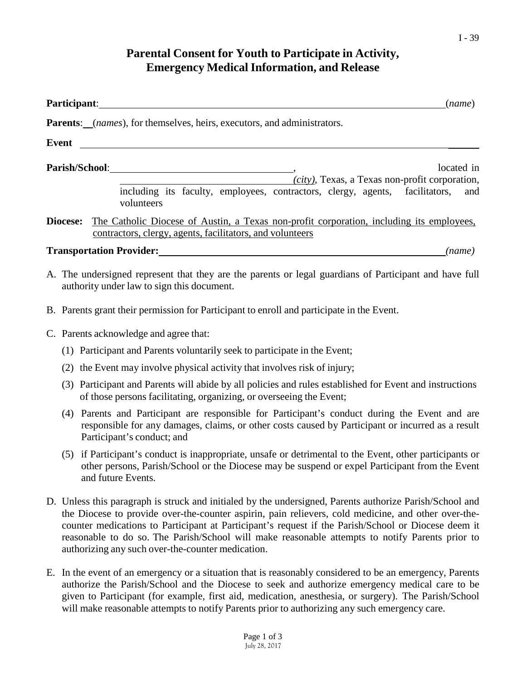### **Parental Consent for Youth to Participate in Activity, Emergency Medical Information, and Release**

| Participant: | (name)                                                                                                                                                                                                                        |
|--------------|-------------------------------------------------------------------------------------------------------------------------------------------------------------------------------------------------------------------------------|
|              | <b>Parents:</b> (names), for themselves, heirs, executors, and administrators.                                                                                                                                                |
| Event        |                                                                                                                                                                                                                               |
|              | located in<br>(city), Texas, a Texas non-profit corporation,                                                                                                                                                                  |
|              | including its faculty, employees, contractors, clergy, agents,<br>facilitators,<br>and<br>volunteers                                                                                                                          |
| Diocese:     | The Catholic Diocese of Austin, a Texas non-profit corporation, including its employees,<br>contractors, clergy, agents, facilitators, and volunteers                                                                         |
|              | Transportation Provider: New York 1978 and 2008 and 2008 and 2008 and 2008 and 2008 and 2008 and 2008 and 2008<br>(name)                                                                                                      |
|              | A. The undersigned represent that they are the parents or legal guardians of Participant and have full<br>authority under law to sign this document.                                                                          |
|              | B. Parents grant their permission for Participant to enroll and participate in the Event.                                                                                                                                     |
|              | C. Parents acknowledge and agree that:                                                                                                                                                                                        |
|              | (1) Participant and Parents voluntarily seek to participate in the Event;                                                                                                                                                     |
|              | (2) the Event may involve physical activity that involves risk of injury;                                                                                                                                                     |
| (3)          | Participant and Parents will abide by all policies and rules established for Event and instructions<br>of those persons facilitating, organizing, or overseeing the Event;                                                    |
| (4)          | Parents and Participant are responsible for Participant's conduct during the Event and are<br>responsible for any damages, claims, or other costs caused by Participant or incurred as a result<br>Participant's conduct; and |

- (5) if Participant's conduct is inappropriate, unsafe or detrimental to the Event, other participants or other persons, Parish/School or the Diocese may be suspend or expel Participant from the Event and future Events.
- D. Unless this paragraph is struck and initialed by the undersigned, Parents authorize Parish/School and the Diocese to provide over-the-counter aspirin, pain relievers, cold medicine, and other over-thecounter medications to Participant at Participant's request if the Parish/School or Diocese deem it reasonable to do so. The Parish/School will make reasonable attempts to notify Parents prior to authorizing any such over-the-counter medication.
- E. In the event of an emergency or a situation that is reasonably considered to be an emergency, Parents authorize the Parish/School and the Diocese to seek and authorize emergency medical care to be given to Participant (for example, first aid, medication, anesthesia, or surgery). The Parish/School will make reasonable attempts to notify Parents prior to authorizing any such emergency care.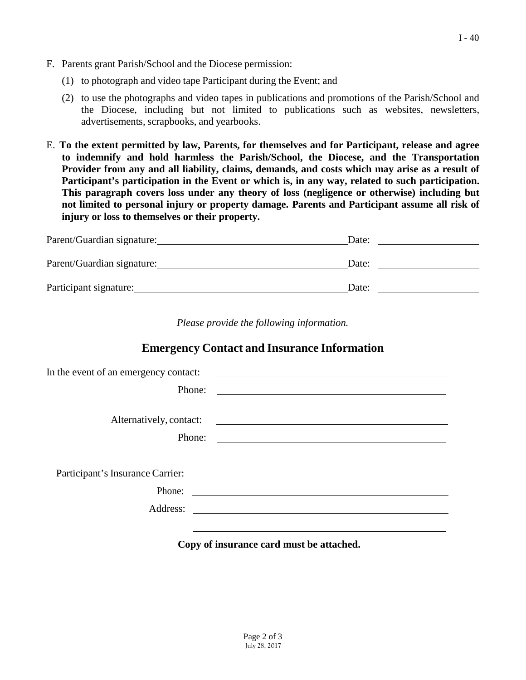- (1) to photograph and video tape Participant during the Event; and
- (2) to use the photographs and video tapes in publications and promotions of the Parish/School and the Diocese, including but not limited to publications such as websites, newsletters, advertisements, scrapbooks, and yearbooks.
- E. **To the extent permitted by law, Parents, for themselves and for Participant, release and agree to indemnify and hold harmless the Parish/School, the Diocese, and the Transportation Provider from any and all liability, claims, demands, and costs which may arise as a result of Participant's participation in the Event or which is, in any way, related to such participation. This paragraph covers loss under any theory of loss (negligence or otherwise) including but not limited to personal injury or property damage. Parents and Participant assume all risk of injury or loss to themselves or their property.**

| Parent/Guardian signature: | Date: |
|----------------------------|-------|
|                            |       |
| Parent/Guardian signature: | Date: |
|                            |       |
| Participant signature:     | Date: |

*Please provide the following information.*

### **Emergency Contact and Insurance Information**

| In the event of an emergency contact: | <u> 1989 - John Stein, Amerikaansk politiker († 1908)</u>                                                             |
|---------------------------------------|-----------------------------------------------------------------------------------------------------------------------|
| Phone:                                | <u> 1980 - Andrea State Barbara, amerikan personal di sebagai personal di sebagai personal di sebagai personal di</u> |
|                                       |                                                                                                                       |
| Alternatively, contact:               | <u> 1989 - Johann Harry Harry Harry Harry Harry Harry Harry Harry Harry Harry Harry Harry Harry Harry Harry Harry</u> |
| Phone:                                | <u> 1989 - Johann Stein, fransk politik (d. 1989)</u>                                                                 |
|                                       |                                                                                                                       |
|                                       |                                                                                                                       |
| Phone:                                |                                                                                                                       |
| Address:                              |                                                                                                                       |
|                                       |                                                                                                                       |

**Copy of insurance card must be attached.**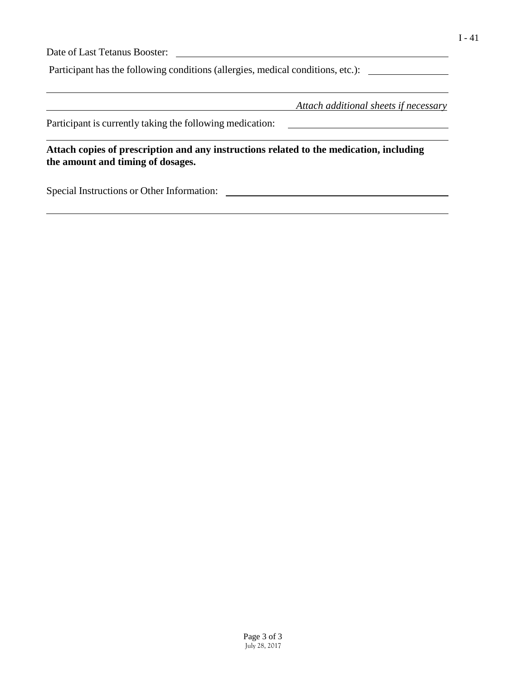Date of Last Tetanus Booster:

Participant has the following conditions (allergies, medical conditions, etc.):

*Attach additional sheets if necessary*

Participant is currently taking the following medication:

### **Attach copies of prescription and any instructions related to the medication, including the amount and timing of dosages.**

Special Instructions or Other Information: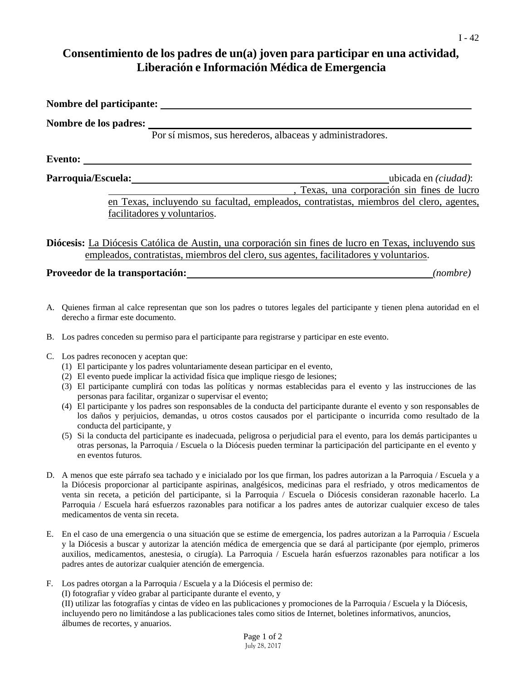### **Consentimiento de los padres de un(a) joven para participar en una actividad, Liberación e Información Médica de Emergencia**

| Nombre del participante: |                                                                                                              |
|--------------------------|--------------------------------------------------------------------------------------------------------------|
| Nombre de los padres:    |                                                                                                              |
|                          | Por sí mismos, sus herederos, albaceas y administradores.                                                    |
| Evento:                  |                                                                                                              |
| Parroquia/Escuela:_      | ubicada en <i>(ciudad)</i> :                                                                                 |
|                          | Texas, una corporación sin fines de lucro                                                                    |
|                          | en Texas, incluyendo su facultad, empleados, contratistas, miembros del clero, agentes,                      |
|                          | facilitadores y voluntarios.                                                                                 |
|                          | <b>Diócesis:</b> La Diócesis Católica de Austin, una corporación sin fines de lucro en Texas, incluyendo sus |
|                          | empleados, contratistas, miembros del clero, sus agentes, facilitadores y voluntarios.                       |

**Proveedor de la transportación:** *(nombre)*

- A. Quienes firman al calce representan que son los padres o tutores legales del participante y tienen plena autoridad en el derecho a firmar este documento.
- B. Los padres conceden su permiso para el participante para registrarse y participar en este evento.
- C. Los padres reconocen y aceptan que:
	- (1) El participante y los padres voluntariamente desean participar en el evento,
	- (2) El evento puede implicar la actividad física que implique riesgo de lesiones;
	- (3) El participante cumplirá con todas las políticas y normas establecidas para el evento y las instrucciones de las personas para facilitar, organizar o supervisar el evento;
	- (4) El participante y los padres son responsables de la conducta del participante durante el evento y son responsables de los daños y perjuicios, demandas, u otros costos causados por el participante o incurrida como resultado de la conducta del participante, y
	- (5) Si la conducta del participante es inadecuada, peligrosa o perjudicial para el evento, para los demás participantes u otras personas, la Parroquia / Escuela o la Diócesis pueden terminar la participación del participante en el evento y en eventos futuros.
- D. A menos que este párrafo sea tachado y e inicialado por los que firman, los padres autorizan a la Parroquia / Escuela y a la Diócesis proporcionar al participante aspirinas, analgésicos, medicinas para el resfriado, y otros medicamentos de venta sin receta, a petición del participante, si la Parroquia / Escuela o Diócesis consideran razonable hacerlo. La Parroquia / Escuela hará esfuerzos razonables para notificar a los padres antes de autorizar cualquier exceso de tales medicamentos de venta sin receta.
- E. En el caso de una emergencia o una situación que se estime de emergencia, los padres autorizan a la Parroquia / Escuela y la Diócesis a buscar y autorizar la atención médica de emergencia que se dará al participante (por ejemplo, primeros auxilios, medicamentos, anestesia, o cirugía). La Parroquia / Escuela harán esfuerzos razonables para notificar a los padres antes de autorizar cualquier atención de emergencia.
- F. Los padres otorgan a la Parroquia / Escuela y a la Diócesis el permiso de: (I) fotografiar y vídeo grabar al participante durante el evento, y (II) utilizar las fotografías y cintas de vídeo en las publicaciones y promociones de la Parroquia / Escuela y la Diócesis, incluyendo pero no limitándose a las publicaciones tales como sitios de Internet, boletines informativos, anuncios, álbumes de recortes, y anuarios.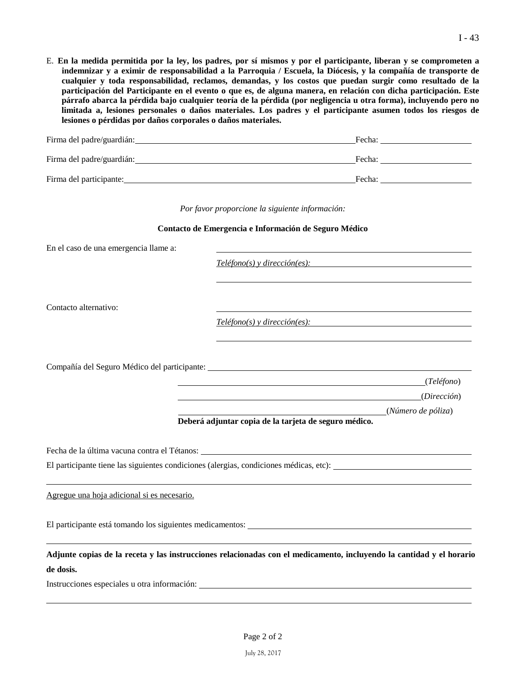E. En la medida permitida por la ley, los padres, por sí mismos y por el participante, liberan y se comprometen a indemnizar y a eximir de responsabilidad a la Parroquia / Escuela, la Diócesis, y la compañía de transporte de **cualquier y toda responsabilidad, reclamos, demandas, y los costos que puedan surgir como resultado de la**  participación del Participante en el evento o que es, de alguna manera, en relación con dicha participación. Este párrafo abarca la pérdida bajo cualquier teoría de la pérdida (por negligencia u otra forma), incluyendo pero no limitada a, lesiones personales o daños materiales. Los padres y el participante asumen todos los riesgos de **lesiones o pérdidas por daños corporales o daños materiales.**

|                                             | Firma del padre/guardián:<br><u>Expression del</u> padre/guardián:                                                                                                                                                                  |                    |
|---------------------------------------------|-------------------------------------------------------------------------------------------------------------------------------------------------------------------------------------------------------------------------------------|--------------------|
|                                             | Firma del padre/guardián: Firma del padre/guardián: Firma del padre/guardián:                                                                                                                                                       |                    |
|                                             | Firma del participante: <u>contra all'estate del participante</u> del participante del participante del participante del participante del participante del participante del participante del participante del participante del part |                    |
|                                             | Por favor proporcione la siguiente información:                                                                                                                                                                                     |                    |
|                                             | Contacto de Emergencia e Información de Seguro Médico                                                                                                                                                                               |                    |
| En el caso de una emergencia llame a:       |                                                                                                                                                                                                                                     |                    |
|                                             | $Teléfono(s)$ y dirección(es):                                                                                                                                                                                                      |                    |
|                                             |                                                                                                                                                                                                                                     |                    |
| Contacto alternativo:                       | $Teléfono(s)$ y dirección(es):                                                                                                                                                                                                      |                    |
|                                             |                                                                                                                                                                                                                                     |                    |
|                                             | Compañía del Seguro Médico del participante: version en la contrario del participante del seguro del participante del participante del participante del participante del participante del participante del participante del pa      |                    |
|                                             | (Teléfono)                                                                                                                                                                                                                          |                    |
|                                             | <i>(Dirección)</i>                                                                                                                                                                                                                  |                    |
|                                             | Deberá adjuntar copia de la tarjeta de seguro médico.                                                                                                                                                                               | (Número de póliza) |
|                                             |                                                                                                                                                                                                                                     |                    |
|                                             | El participante tiene las siguientes condiciones (alergias, condiciones médicas, etc):                                                                                                                                              |                    |
| Agregue una hoja adicional si es necesario. |                                                                                                                                                                                                                                     |                    |
|                                             |                                                                                                                                                                                                                                     |                    |
|                                             | Adjunte copias de la receta y las instrucciones relacionadas con el medicamento, incluyendo la cantidad y el horario                                                                                                                |                    |
| de dosis.                                   |                                                                                                                                                                                                                                     |                    |
|                                             |                                                                                                                                                                                                                                     |                    |
|                                             |                                                                                                                                                                                                                                     |                    |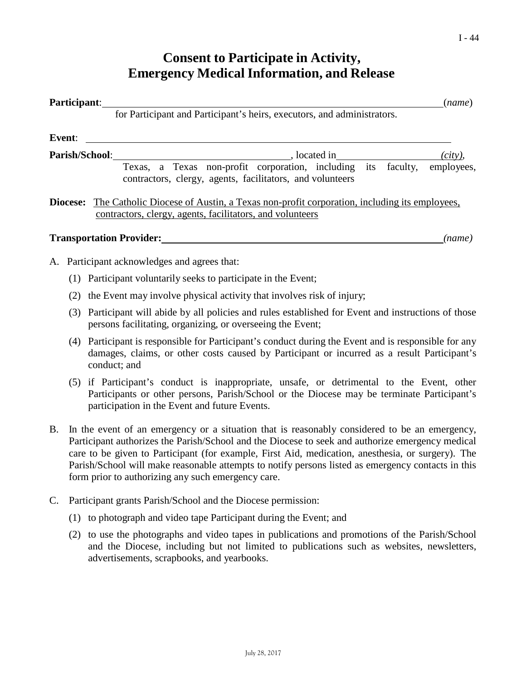## **Consent to Participate in Activity, Emergency Medical Information, and Release**

|                |                                                                                                                                                                                                                                                                                                                                                                                                                                                                    | Participant:<br>(name)                                                                                                                                                                                                                       |  |
|----------------|--------------------------------------------------------------------------------------------------------------------------------------------------------------------------------------------------------------------------------------------------------------------------------------------------------------------------------------------------------------------------------------------------------------------------------------------------------------------|----------------------------------------------------------------------------------------------------------------------------------------------------------------------------------------------------------------------------------------------|--|
|                |                                                                                                                                                                                                                                                                                                                                                                                                                                                                    | for Participant and Participant's heirs, executors, and administrators.                                                                                                                                                                      |  |
| Event:         |                                                                                                                                                                                                                                                                                                                                                                                                                                                                    |                                                                                                                                                                                                                                              |  |
|                |                                                                                                                                                                                                                                                                                                                                                                                                                                                                    | Parish/School: (a) a cated in the set of the set of the set of the set of the set of the set of the set of the set of the set of the set of the set of the set of the set of the set of the set of the set of the set of the s<br>$(city)$ , |  |
|                |                                                                                                                                                                                                                                                                                                                                                                                                                                                                    | Texas, a Texas non-profit corporation, including<br>its faculty,<br>employees,<br>contractors, clergy, agents, facilitators, and volunteers                                                                                                  |  |
|                |                                                                                                                                                                                                                                                                                                                                                                                                                                                                    | <b>Diocese:</b> The Catholic Diocese of Austin, a Texas non-profit corporation, including its employees,<br>contractors, clergy, agents, facilitators, and volunteers                                                                        |  |
|                |                                                                                                                                                                                                                                                                                                                                                                                                                                                                    | <b>Transportation Provider:</b><br>(name)                                                                                                                                                                                                    |  |
|                |                                                                                                                                                                                                                                                                                                                                                                                                                                                                    | A. Participant acknowledges and agrees that:                                                                                                                                                                                                 |  |
|                |                                                                                                                                                                                                                                                                                                                                                                                                                                                                    | (1) Participant voluntarily seeks to participate in the Event;                                                                                                                                                                               |  |
|                |                                                                                                                                                                                                                                                                                                                                                                                                                                                                    | (2) the Event may involve physical activity that involves risk of injury;                                                                                                                                                                    |  |
|                |                                                                                                                                                                                                                                                                                                                                                                                                                                                                    | (3) Participant will abide by all policies and rules established for Event and instructions of those<br>persons facilitating, organizing, or overseeing the Event;                                                                           |  |
|                |                                                                                                                                                                                                                                                                                                                                                                                                                                                                    | (4) Participant is responsible for Participant's conduct during the Event and is responsible for any<br>damages, claims, or other costs caused by Participant or incurred as a result Participant's<br>conduct; and                          |  |
|                |                                                                                                                                                                                                                                                                                                                                                                                                                                                                    | (5) if Participant's conduct is inappropriate, unsafe, or detrimental to the Event, other<br>Participants or other persons, Parish/School or the Diocese may be terminate Participant's<br>participation in the Event and future Events.     |  |
| <b>B.</b>      | In the event of an emergency or a situation that is reasonably considered to be an emergency,<br>Participant authorizes the Parish/School and the Diocese to seek and authorize emergency medical<br>care to be given to Participant (for example, First Aid, medication, anesthesia, or surgery). The<br>Parish/School will make reasonable attempts to notify persons listed as emergency contacts in this<br>form prior to authorizing any such emergency care. |                                                                                                                                                                                                                                              |  |
| $\mathbf{C}$ . |                                                                                                                                                                                                                                                                                                                                                                                                                                                                    | Participant grants Parish/School and the Diocese permission:                                                                                                                                                                                 |  |
|                |                                                                                                                                                                                                                                                                                                                                                                                                                                                                    | (1) to photograph and video tape Participant during the Event; and                                                                                                                                                                           |  |

(2) to use the photographs and video tapes in publications and promotions of the Parish/School and the Diocese, including but not limited to publications such as websites, newsletters, advertisements, scrapbooks, and yearbooks.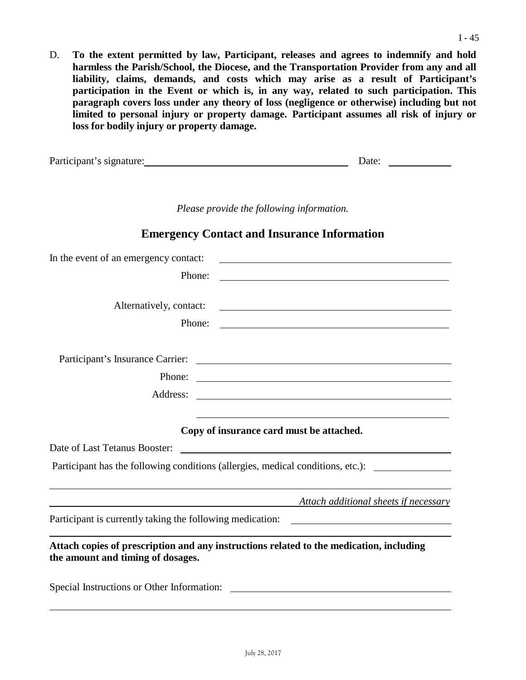D. **To the extent permitted by law, Participant, releases and agrees to indemnify and hold harmless the Parish/School, the Diocese, and the Transportation Provider from any and all liability, claims, demands, and costs which may arise as a result of Participant's participation in the Event or which is, in any way, related to such participation. This paragraph covers loss under any theory of loss (negligence or otherwise) including but not limited to personal injury or property damage. Participant assumes all risk of injury or loss for bodily injury or property damage.**

| Participant's signature: | Date: |
|--------------------------|-------|
|                          |       |

*Please provide the following information.*

### **Emergency Contact and Insurance Information**

| In the event of an emergency contact:                     |                                                                                                                        |
|-----------------------------------------------------------|------------------------------------------------------------------------------------------------------------------------|
| Phone:                                                    |                                                                                                                        |
| Alternatively, contact:                                   | <u> 1989 - Johann Barn, fransk politik amerikansk politik (d. 1989)</u>                                                |
| Phone:                                                    |                                                                                                                        |
|                                                           |                                                                                                                        |
|                                                           | Phone:                                                                                                                 |
|                                                           |                                                                                                                        |
|                                                           | <u> 1989 - Johann Stoff, deutscher Stoffen und der Stoffen und der Stoffen und der Stoffen und der Stoffen und der</u> |
|                                                           | Copy of insurance card must be attached.                                                                               |
| Date of Last Tetanus Booster:                             | <u> 1989 - Johann Harry Harry Harry Harry Harry Harry Harry Harry Harry Harry Harry Harry Harry Harry Harry Harry</u>  |
|                                                           | Participant has the following conditions (allergies, medical conditions, etc.):                                        |
|                                                           | Attach additional sheets if necessary                                                                                  |
| Participant is currently taking the following medication: |                                                                                                                        |
| the amount and timing of dosages.                         | Attach copies of prescription and any instructions related to the medication, including                                |

Special Instructions or Other Information: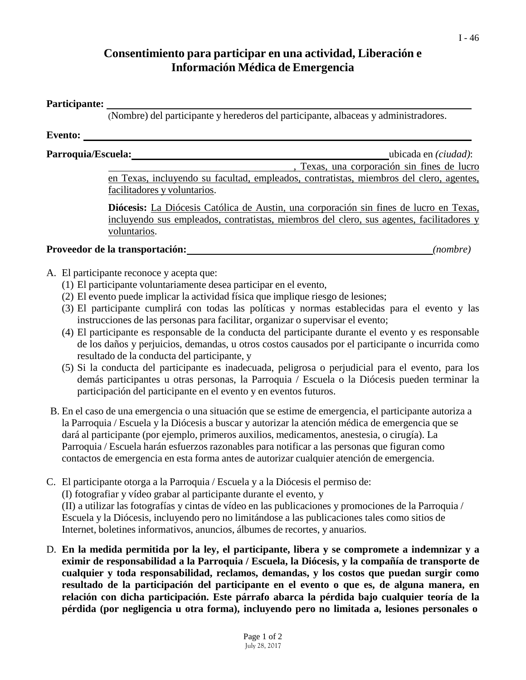### **Consentimiento para participar en una actividad, Liberación e Información Médica de Emergencia**

### **Participante:**

(Nombre) del participante y herederos del participante, albaceas y administradores.

#### **Evento:**

**Parroquia/Escuela:** ubicada en *(ciudad)*:

, Texas, una corporación sin fines de lucro en Texas, incluyendo su facultad, empleados, contratistas, miembros del clero, agentes, facilitadores y voluntarios.

**Diócesis:** La Diócesis Católica de Austin, una corporación sin fines de lucro en Texas, incluyendo sus empleados, contratistas, miembros del clero, sus agentes, facilitadores y voluntarios.

### **Proveedor de la transportación:** *(nombre)*

- A. El participante reconoce y acepta que:
	- (1) El participante voluntariamente desea participar en el evento,
	- (2) El evento puede implicar la actividad física que implique riesgo de lesiones;
	- (3) El participante cumplirá con todas las políticas y normas establecidas para el evento y las instrucciones de las personas para facilitar, organizar o supervisar el evento;
	- (4) El participante es responsable de la conducta del participante durante el evento y es responsable de los daños y perjuicios, demandas, u otros costos causados por el participante o incurrida como resultado de la conducta del participante, y
	- (5) Si la conducta del participante es inadecuada, peligrosa o perjudicial para el evento, para los demás participantes u otras personas, la Parroquia / Escuela o la Diócesis pueden terminar la participación del participante en el evento y en eventos futuros.
- B. En el caso de una emergencia o una situación que se estime de emergencia, el participante autoriza a la Parroquia / Escuela y la Diócesis a buscar y autorizar la atención médica de emergencia que se dará al participante (por ejemplo, primeros auxilios, medicamentos, anestesia, o cirugía). La Parroquia / Escuela harán esfuerzos razonables para notificar a las personas que figuran como contactos de emergencia en esta forma antes de autorizar cualquier atención de emergencia.
- C. El participante otorga a la Parroquia / Escuela y a la Diócesis el permiso de:

(I) fotografiar y vídeo grabar al participante durante el evento, y

(II) a utilizar las fotografías y cintas de vídeo en las publicaciones y promociones de la Parroquia / Escuela y la Diócesis, incluyendo pero no limitándose a las publicaciones tales como sitios de Internet, boletines informativos, anuncios, álbumes de recortes, y anuarios.

D. **En la medida permitida por la ley, el participante, libera y se compromete a indemnizar y a eximir de responsabilidad a la Parroquia / Escuela, la Diócesis, y la compañía de transporte de cualquier y toda responsabilidad, reclamos, demandas, y los costos que puedan surgir como resultado de la participación del participante en el evento o que es, de alguna manera, en relación con dicha participación. Este párrafo abarca la pérdida bajo cualquier teoría de la pérdida (por negligencia u otra forma), incluyendo pero no limitada a, lesiones personales o**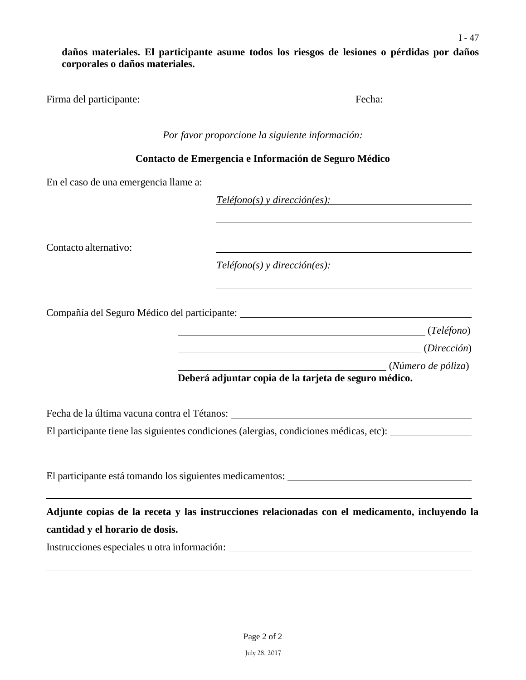**daños materiales. El participante asume todos los riesgos de lesiones o pérdidas por daños corporales o daños materiales.**

|  | Firma del participante: | Fecha <sup>.</sup> |
|--|-------------------------|--------------------|
|--|-------------------------|--------------------|

*Por favor proporcione la siguiente información:*

#### **Contacto de Emergencia e Información de Seguro Médico**

En el caso de una emergencia llame a:

*Teléfono(s) y dirección(es):* 

Contacto alternativo:

*Teléfono(s) y dirección(es):* 

Compañía del Seguro Médico del participante:

(*Teléfono*)

(*Dirección*)

(*Número de póliza*)

**Deberá adjuntar copia de la tarjeta de seguro médico.**

Fecha de la última vacuna contra el Tétanos:

El participante tiene las siguientes condiciones (alergias, condiciones médicas, etc):

El participante está tomando los siguientes medicamentos:

**Adjunte copias de la receta y las instrucciones relacionadas con el medicamento, incluyendo la cantidad y el horario de dosis.**

Instrucciones especiales u otra información: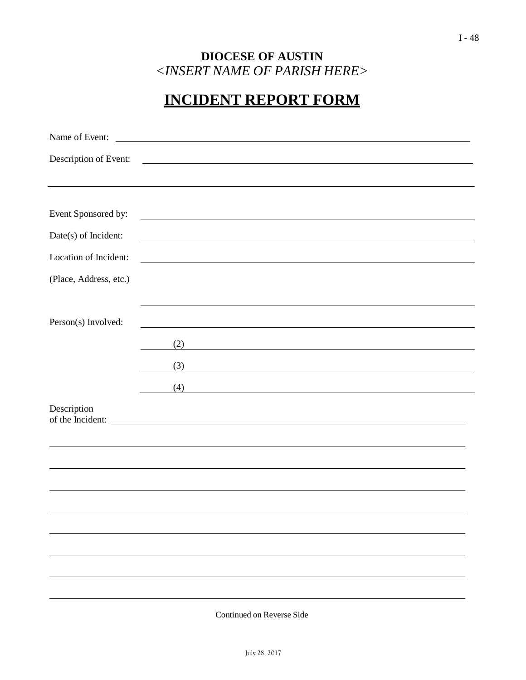### **DIOCESE OF AUSTIN** *<INSERT NAME OF PARISH HERE>*

# **INCIDENT REPORT FORM**

| Name of Event:         |                                                                                                                        |                                                                                                                        |  |
|------------------------|------------------------------------------------------------------------------------------------------------------------|------------------------------------------------------------------------------------------------------------------------|--|
| Description of Event:  | <u> 2008 - Andrea Andrew Maria (h. 1878).</u>                                                                          |                                                                                                                        |  |
|                        |                                                                                                                        |                                                                                                                        |  |
| Event Sponsored by:    | <u> 1989 - Johann Stoff, deutscher Stoffen und der Stoffen und der Stoffen und der Stoffen und der Stoffen und der</u> |                                                                                                                        |  |
| Date(s) of Incident:   |                                                                                                                        |                                                                                                                        |  |
| Location of Incident:  |                                                                                                                        |                                                                                                                        |  |
| (Place, Address, etc.) |                                                                                                                        |                                                                                                                        |  |
|                        |                                                                                                                        |                                                                                                                        |  |
| Person(s) Involved:    |                                                                                                                        |                                                                                                                        |  |
|                        | (2)                                                                                                                    | <u> 1989 - Johann Stoff, deutscher Stoffen und der Stoffen und der Stoffen und der Stoffen und der Stoffen und der</u> |  |
|                        | (3)                                                                                                                    | <u> 1980 - Johann Barn, mars ann an t-Amhain Aonaich an t-Aonaich an t-Aonaich ann an t-Aonaich ann an t-Aonaich</u>   |  |
|                        | (4)                                                                                                                    | <u> 1980 - Johann Barn, mars ann an t-Amhain Aonaich an t-Aonaich an t-Aonaich ann an t-Aonaich ann an t-Aonaich</u>   |  |
| Description            |                                                                                                                        |                                                                                                                        |  |
|                        |                                                                                                                        |                                                                                                                        |  |
|                        |                                                                                                                        |                                                                                                                        |  |
|                        |                                                                                                                        |                                                                                                                        |  |
|                        |                                                                                                                        |                                                                                                                        |  |
|                        |                                                                                                                        |                                                                                                                        |  |
|                        |                                                                                                                        |                                                                                                                        |  |
|                        |                                                                                                                        |                                                                                                                        |  |
|                        |                                                                                                                        |                                                                                                                        |  |
|                        |                                                                                                                        |                                                                                                                        |  |

Continued on Reverse Side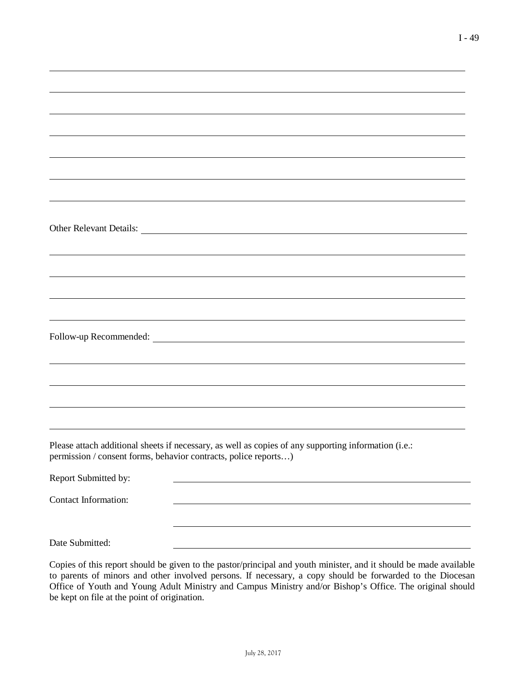| Other Relevant Details:                                                                                                                                                                                                              |  |
|--------------------------------------------------------------------------------------------------------------------------------------------------------------------------------------------------------------------------------------|--|
|                                                                                                                                                                                                                                      |  |
|                                                                                                                                                                                                                                      |  |
|                                                                                                                                                                                                                                      |  |
|                                                                                                                                                                                                                                      |  |
| Follow-up Recommended: <u>New York: New York: New York: New York: New York: New York: New York: New York: New York: New York: New York: New York: New York: New York: New York: New York: New York: New York: New York: New York</u> |  |
|                                                                                                                                                                                                                                      |  |
|                                                                                                                                                                                                                                      |  |
|                                                                                                                                                                                                                                      |  |
|                                                                                                                                                                                                                                      |  |
| Please attach additional sheets if necessary, as well as copies of any supporting information (i.e.:<br>permission / consent forms, behavior contracts, police reports)                                                              |  |
| Report Submitted by:                                                                                                                                                                                                                 |  |
| Contact Information:                                                                                                                                                                                                                 |  |
|                                                                                                                                                                                                                                      |  |
| Date Submitted:                                                                                                                                                                                                                      |  |

Copies of this report should be given to the pastor/principal and youth minister, and it should be made available to parents of minors and other involved persons. If necessary, a copy should be forwarded to the Diocesan Office of Youth and Young Adult Ministry and Campus Ministry and/or Bishop's Office. The original should be kept on file at the point of origination.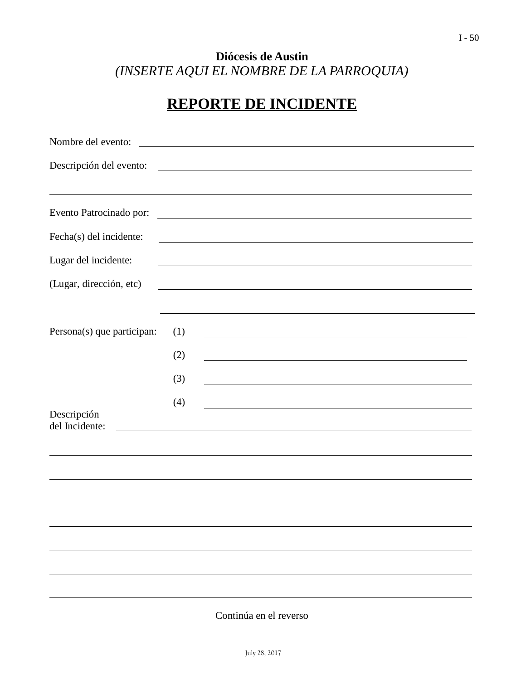### **Diócesis de Austin** *(INSERTE AQUI EL NOMBRE DE LA PARROQUIA)*

# **REPORTE DE INCIDENTE**

| Nombre del evento:         |     |                                                             |                                                                                                                                                                                                                               |                                                             |
|----------------------------|-----|-------------------------------------------------------------|-------------------------------------------------------------------------------------------------------------------------------------------------------------------------------------------------------------------------------|-------------------------------------------------------------|
| Descripción del evento:    |     |                                                             | <u> 1989 - Johann John Stone, markin fan it ferstjer fan de ferstjer fan it ferstjer fan de ferstjer fan de fers</u>                                                                                                          |                                                             |
|                            |     |                                                             |                                                                                                                                                                                                                               |                                                             |
| Evento Patrocinado por:    |     |                                                             | <u> 1989 - Johann Barn, fransk politik formuler (d. 1989)</u>                                                                                                                                                                 |                                                             |
| Fecha(s) del incidente:    |     |                                                             | <u> 1989 - Johann Barn, amerikan besteman besteman besteman besteman besteman besteman besteman besteman bestema</u>                                                                                                          |                                                             |
| Lugar del incidente:       |     | <u> 1989 - Johann Stoff, amerikansk politiker (d. 1989)</u> |                                                                                                                                                                                                                               |                                                             |
| (Lugar, dirección, etc)    |     |                                                             | <u> 1989 - Johann Stoff, amerikansk politiker (d. 1989)</u>                                                                                                                                                                   |                                                             |
|                            |     |                                                             |                                                                                                                                                                                                                               |                                                             |
| Persona(s) que participan: | (1) |                                                             | <u> 1980 - Johann Barbara, martxa amerikan bashkar (</u>                                                                                                                                                                      |                                                             |
|                            | (2) |                                                             | the control of the control of the control of the control of the control of the control of the control of the control of the control of the control of the control of the control of the control of the control of the control |                                                             |
|                            | (3) |                                                             |                                                                                                                                                                                                                               | <u> 1989 - Johann Stoff, amerikansk politiker (d. 1989)</u> |
| Descripción                | (4) |                                                             | <u> 1989 - Johann Stoff, deutscher Stoff, der Stoff, der Stoff, der Stoff, der Stoff, der Stoff, der Stoff, der S</u>                                                                                                         |                                                             |
| del Incidente:             |     |                                                             |                                                                                                                                                                                                                               |                                                             |
|                            |     |                                                             |                                                                                                                                                                                                                               |                                                             |
|                            |     |                                                             |                                                                                                                                                                                                                               |                                                             |
|                            |     |                                                             |                                                                                                                                                                                                                               |                                                             |
|                            |     |                                                             |                                                                                                                                                                                                                               |                                                             |
|                            |     |                                                             |                                                                                                                                                                                                                               |                                                             |
|                            |     |                                                             |                                                                                                                                                                                                                               |                                                             |
|                            |     |                                                             |                                                                                                                                                                                                                               |                                                             |

Continúa en el reverso